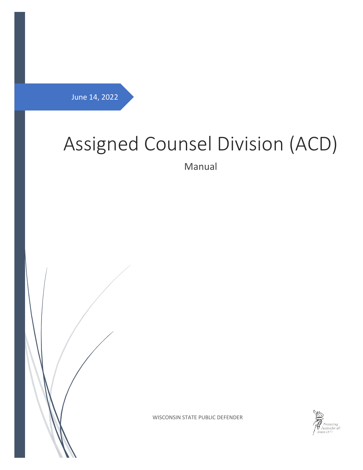<span id="page-0-0"></span>June 14, 2022

# Assigned Counsel Division (ACD)

Manual





WISCONSIN STATE PUBLIC DEFENDER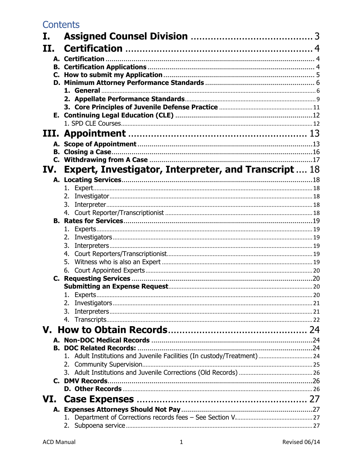# **Contents**

| II.<br><b>Expert, Investigator, Interpreter, and Transcript 18</b><br>IV.<br>6.<br>1. Experts.<br>3.<br>1. Adult Institutions and Juvenile Facilities (In custody/Treatment) 24<br>VI.<br>А.<br>1. | Ι. |  |
|----------------------------------------------------------------------------------------------------------------------------------------------------------------------------------------------------|----|--|
|                                                                                                                                                                                                    |    |  |
|                                                                                                                                                                                                    |    |  |
|                                                                                                                                                                                                    |    |  |
|                                                                                                                                                                                                    |    |  |
|                                                                                                                                                                                                    |    |  |
|                                                                                                                                                                                                    |    |  |
|                                                                                                                                                                                                    |    |  |
|                                                                                                                                                                                                    |    |  |
|                                                                                                                                                                                                    |    |  |
|                                                                                                                                                                                                    |    |  |
|                                                                                                                                                                                                    |    |  |
|                                                                                                                                                                                                    |    |  |
|                                                                                                                                                                                                    |    |  |
|                                                                                                                                                                                                    |    |  |
|                                                                                                                                                                                                    |    |  |
|                                                                                                                                                                                                    |    |  |
|                                                                                                                                                                                                    |    |  |
|                                                                                                                                                                                                    |    |  |
|                                                                                                                                                                                                    |    |  |
|                                                                                                                                                                                                    |    |  |
|                                                                                                                                                                                                    |    |  |
|                                                                                                                                                                                                    |    |  |
|                                                                                                                                                                                                    |    |  |
|                                                                                                                                                                                                    |    |  |
|                                                                                                                                                                                                    |    |  |
|                                                                                                                                                                                                    |    |  |
|                                                                                                                                                                                                    |    |  |
|                                                                                                                                                                                                    |    |  |
|                                                                                                                                                                                                    |    |  |
|                                                                                                                                                                                                    |    |  |
|                                                                                                                                                                                                    |    |  |
|                                                                                                                                                                                                    |    |  |
|                                                                                                                                                                                                    |    |  |
|                                                                                                                                                                                                    |    |  |
|                                                                                                                                                                                                    |    |  |
|                                                                                                                                                                                                    |    |  |
|                                                                                                                                                                                                    |    |  |
|                                                                                                                                                                                                    |    |  |
|                                                                                                                                                                                                    |    |  |
|                                                                                                                                                                                                    |    |  |
|                                                                                                                                                                                                    |    |  |
|                                                                                                                                                                                                    |    |  |
|                                                                                                                                                                                                    |    |  |
|                                                                                                                                                                                                    |    |  |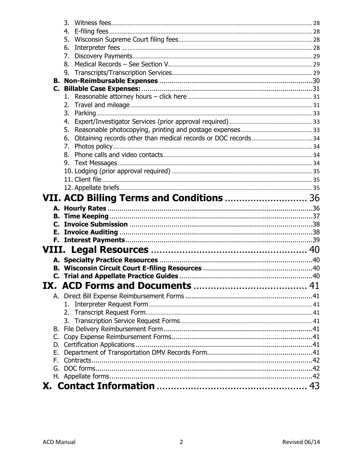| 3. |                                           |  |
|----|-------------------------------------------|--|
| 4. |                                           |  |
| 5. |                                           |  |
| 6. |                                           |  |
| 7. |                                           |  |
| 8. |                                           |  |
| 9. |                                           |  |
|    |                                           |  |
|    |                                           |  |
|    |                                           |  |
| 2. |                                           |  |
|    |                                           |  |
| 4. |                                           |  |
| 5. |                                           |  |
|    |                                           |  |
| 7. |                                           |  |
| 8. |                                           |  |
|    |                                           |  |
|    |                                           |  |
|    |                                           |  |
|    |                                           |  |
|    | VII. ACD Billing Terms and Conditions  36 |  |
|    |                                           |  |
|    |                                           |  |
|    |                                           |  |
|    |                                           |  |
|    |                                           |  |
|    |                                           |  |
|    |                                           |  |
|    |                                           |  |
|    |                                           |  |
|    |                                           |  |
|    |                                           |  |
| 1. |                                           |  |
|    |                                           |  |
|    |                                           |  |
| В. |                                           |  |
| C. |                                           |  |
| D. |                                           |  |
| Е. |                                           |  |
| F. |                                           |  |
| G. |                                           |  |
|    |                                           |  |
|    |                                           |  |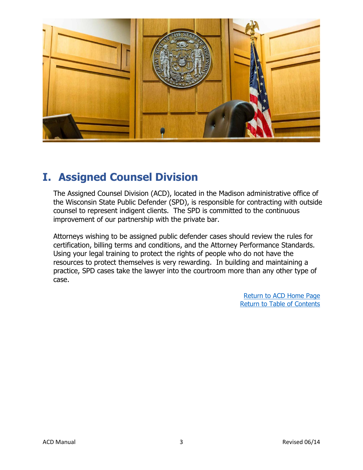

# <span id="page-3-0"></span>**I. Assigned Counsel Division**

The Assigned Counsel Division (ACD), located in the Madison administrative office of the Wisconsin State Public Defender (SPD), is responsible for contracting with outside counsel to represent indigent clients. The SPD is committed to the continuous improvement of our partnership with the private bar.

Attorneys wishing to be assigned public defender cases should review the rules for certification, billing terms and conditions, and the Attorney Performance Standards. Using your legal training to protect the rights of people who do not have the resources to protect themselves is very rewarding. In building and maintaining a practice, SPD cases take the lawyer into the courtroom more than any other type of case.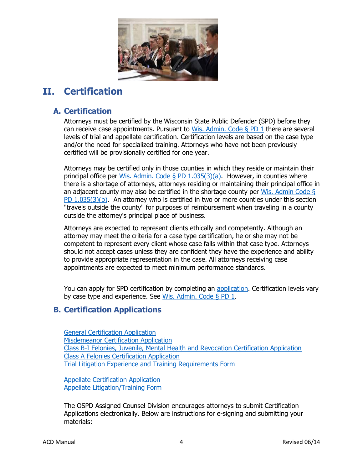

# <span id="page-4-0"></span>**II. Certification**

# <span id="page-4-1"></span>**A. Certification**

Attorneys must be certified by the Wisconsin State Public Defender (SPD) before they can receive case appointments. Pursuant to Wis. Admin. Code  $\S$  PD 1 there are several levels of trial and appellate certification. Certification levels are based on the case type and/or the need for specialized training. Attorneys who have not been previously certified will be provisionally certified for one year.

Attorneys may be certified only in those counties in which they reside or maintain their principal office per Wis. Admin. Code § PD  $1.035(3)(a)$ . However, in counties where there is a shortage of attorneys, attorneys residing or maintaining their principal office in an adjacent county may also be certified in the shortage county per Wis. Admin Code  $\S$ [PD 1.035\(3\)\(b\).](https://docs.legis.wisconsin.gov/code/admin_code/pd/1/035/3/b) An attorney who is certified in two or more counties under this section "travels outside the county" for purposes of reimbursement when traveling in a county outside the attorney's principal place of business.

Attorneys are expected to represent clients ethically and competently. Although an attorney may meet the criteria for a case type certification, he or she may not be competent to represent every client whose case falls within that case type. Attorneys should not accept cases unless they are confident they have the experience and ability to provide appropriate representation in the case. All attorneys receiving case appointments are expected to meet minimum performance standards.

You can apply for SPD certification by completing an [application.](https://www.wispd.gov/_files/ugd/ef2438_c63cec5c04144e2a90bb27ca0824d3e7.pdf) Certification levels vary by case type and experience. See [Wis. Admin. Code § PD 1](https://docs.legis.wisconsin.gov/code/admin_code/pd/1).

# <span id="page-4-2"></span>**B. Certification Applications**

[General Certification Application](https://www.wispd.gov/_files/ugd/ef2438_c63cec5c04144e2a90bb27ca0824d3e7.pdf) [Misdemeanor Certification Application](https://www.wispd.gov/_files/ugd/ef2438_35e3cb8afed244f894734b79623489fa.pdf) [Class B-I Felonies, Juvenile, Mental Health and Revocation Certification Application](https://www.wispd.gov/_files/ugd/ef2438_dbeb90df4842456f846c56f3e8cccb25.pdf) [Class A Felonies Certification Application](https://www.wispd.gov/_files/ugd/ef2438_98534dcb321f436c845338ff1e37c8bb.pdf) [Trial Litigation Experience and Training Requirements Form](https://www.wispd.gov/_files/ugd/ef2438_804068240c4c4f6b8a6c1b9b5362f336.pdf)

[Appellate Certification Application](https://84e28956-0578-4c79-a8c4-ccd0bb6f7172.filesusr.com/ugd/d7d26b_fb5520e396c742d4b59716305398eb8b.pdf) [Appellate Litigation/Training Form](https://www.wispd.gov/_files/ugd/d7d26b_c046cae4eba84795992ed439fb81107e.pdf)

The OSPD Assigned Counsel Division encourages attorneys to submit Certification Applications electronically. Below are instructions for e-signing and submitting your materials: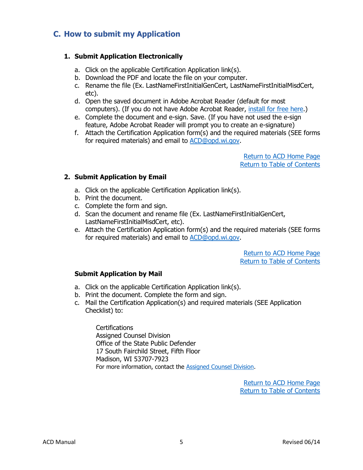# <span id="page-5-0"></span>**C. How to submit my Application**

### **1. Submit Application Electronically**

- a. Click on the applicable Certification Application link(s).
- b. Download the PDF and locate the file on your computer.
- c. Rename the file (Ex. LastNameFirstInitialGenCert, LastNameFirstInitialMisdCert, etc).
- d. Open the saved document in Adobe Acrobat Reader (default for most computers). (If you do not have Adobe Acrobat Reader, [install for free here.](https://get.adobe.com/reader/))
- e. Complete the document and e-sign. Save. (If you have not used the e-sign feature, Adobe Acrobat Reader will prompt you to create an e-signature)
- f. Attach the Certification Application form(s) and the required materials (SEE forms for required materials) and email to [ACD@opd.wi.gov.](mailto:ACD@opd.wi.gov)

[Return](file:///C:/Users/solemm/Desktop/Website%20Documents/ACD%20Landing%20Page.docx) to ACD Home Pag[e](http://wispd.org/images/Newsletter_for_April_2015.pdf) [Return to Table of Contents](file://///FIWMAD2P3076.opd/ADM-Public/ACD/Manual/ACD%20Manual%202022-04-26.docx%23_top)

### **2. Submit Application by Email**

- a. Click on the applicable Certification Application link(s).
- b. Print the document.
- c. Complete the form and sign.
- d. Scan the document and rename file (Ex. LastNameFirstInitialGenCert, LastNameFirstInitialMisdCert, etc).
- e. Attach the Certification Application form(s) and the required materials (SEE forms for required materials) and email to [ACD@opd.wi.gov.](mailto:ACD@opd.wi.gov)

[Return](file:///C:/Users/solemm/Desktop/Website%20Documents/ACD%20Landing%20Page.docx) to ACD Home Pag[e](http://wispd.org/images/Newsletter_for_April_2015.pdf) [Return to Table of Contents](file://///FIWMAD2P3076.opd/ADM-Public/ACD/Manual/ACD%20Manual%202022-04-26.docx%23_top)

# **Submit Application by Mail**

- a. Click on the applicable Certification Application link(s).
- b. Print the document. Complete the form and sign.
- c. Mail the Certification Application(s) and required materials (SEE Application Checklist) to:

Certifications Assigned Counsel Division Office of the State Public Defender 17 South Fairchild Street, Fifth Floor Madison, WI 53707-7923 For more information, contact the [Assigned Counsel Division.](https://www.wispd.gov/_files/ugd/ef2438_e62ac89246e544a79215fa00e5baf9a2.pdf#page=42)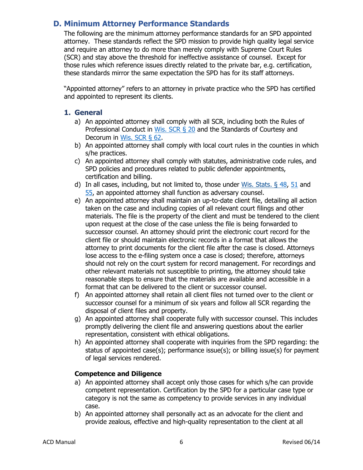# <span id="page-6-0"></span>**D. [Minimum Attorney Performance Standards](http://wispd.org/images/18_2_6_Final_Minimum_Attorney_Performace_Standards.pdf)**

The following are the minimum attorney performance standards for an SPD appointed attorney. These standards reflect the SPD mission to provide high quality legal service and require an attorney to do more than merely comply with Supreme Court Rules (SCR) and stay above the threshold for ineffective assistance of counsel. Except for those rules which reference issues directly related to the private bar, e.g. certification, these standards mirror the same expectation the SPD has for its staff attorneys.

"Appointed attorney" refers to an attorney in private practice who the SPD has certified and appointed to represent its clients.

### <span id="page-6-1"></span>**1. General**

- a) An appointed attorney shall comply with all SCR, including both the Rules of Professional Conduct in [Wis. SCR §](https://www.wicourts.gov/sc/rules/chap20b.pdf) 20 and the Standards of Courtesy and Decorum in [Wis. SCR §](https://www.wicourts.gov/sc/rules/chap62.pdf) 62.
- b) An appointed attorney shall comply with local court rules in the counties in which s/he practices.
- c) An appointed attorney shall comply with statutes, administrative code rules, and SPD policies and procedures related to public defender appointments, certification and billing.
- d) In all cases, including, but not limited to, those under [Wis. Stats. §](https://docs.legis.wisconsin.gov/statutes/statutes/48) 48, [51](https://docs.legis.wisconsin.gov/statutes/statutes/51/title) and [55,](https://docs.legis.wisconsin.gov/statutes/statutes/55) an appointed attorney shall function as adversary counsel.
- e) An appointed attorney shall maintain an up-to-date client file, detailing all action taken on the case and including copies of all relevant court filings and other materials. The file is the property of the client and must be tendered to the client upon request at the close of the case unless the file is being forwarded to successor counsel. An attorney should print the electronic court record for the client file or should maintain electronic records in a format that allows the attorney to print documents for the client file after the case is closed. Attorneys lose access to the e-filing system once a case is closed; therefore, attorneys should not rely on the court system for record management. For recordings and other relevant materials not susceptible to printing, the attorney should take reasonable steps to ensure that the materials are available and accessible in a format that can be delivered to the client or successor counsel.
- f) An appointed attorney shall retain all client files not turned over to the client or successor counsel for a minimum of six years and follow all SCR regarding the disposal of client files and property.
- g) An appointed attorney shall cooperate fully with successor counsel. This includes promptly delivering the client file and answering questions about the earlier representation, consistent with ethical obligations.
- h) An appointed attorney shall cooperate with inquiries from the SPD regarding: the status of appointed case(s); performance issue(s); or billing issue(s) for payment of legal services rendered.

### **Competence and Diligence**

- a) An appointed attorney shall accept only those cases for which s/he can provide competent representation. Certification by the SPD for a particular case type or category is not the same as competency to provide services in any individual case.
- b) An appointed attorney shall personally act as an advocate for the client and provide zealous, effective and high-quality representation to the client at all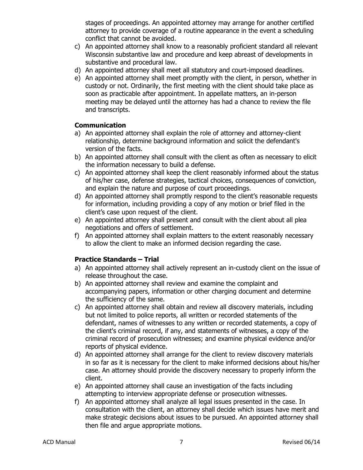stages of proceedings. An appointed attorney may arrange for another certified attorney to provide coverage of a routine appearance in the event a scheduling conflict that cannot be avoided.

- c) An appointed attorney shall know to a reasonably proficient standard all relevant Wisconsin substantive law and procedure and keep abreast of developments in substantive and procedural law.
- d) An appointed attorney shall meet all statutory and court-imposed deadlines.
- e) An appointed attorney shall meet promptly with the client, in person, whether in custody or not. Ordinarily, the first meeting with the client should take place as soon as practicable after appointment. In appellate matters, an in-person meeting may be delayed until the attorney has had a chance to review the file and transcripts.

# **Communication**

- a) An appointed attorney shall explain the role of attorney and attorney-client relationship, determine background information and solicit the defendant's version of the facts.
- b) An appointed attorney shall consult with the client as often as necessary to elicit the information necessary to build a defense.
- c) An appointed attorney shall keep the client reasonably informed about the status of his/her case, defense strategies, tactical choices, consequences of conviction, and explain the nature and purpose of court proceedings.
- d) An appointed attorney shall promptly respond to the client's reasonable requests for information, including providing a copy of any motion or brief filed in the client's case upon request of the client.
- e) An appointed attorney shall present and consult with the client about all plea negotiations and offers of settlement.
- f) An appointed attorney shall explain matters to the extent reasonably necessary to allow the client to make an informed decision regarding the case.

# **Practice Standards – Trial**

- a) An appointed attorney shall actively represent an in-custody client on the issue of release throughout the case.
- b) An appointed attorney shall review and examine the complaint and accompanying papers, information or other charging document and determine the sufficiency of the same.
- c) An appointed attorney shall obtain and review all discovery materials, including but not limited to police reports, all written or recorded statements of the defendant, names of witnesses to any written or recorded statements, a copy of the client's criminal record, if any, and statements of witnesses, a copy of the criminal record of prosecution witnesses; and examine physical evidence and/or reports of physical evidence.
- d) An appointed attorney shall arrange for the client to review discovery materials in so far as it is necessary for the client to make informed decisions about his/her case. An attorney should provide the discovery necessary to properly inform the client.
- e) An appointed attorney shall cause an investigation of the facts including attempting to interview appropriate defense or prosecution witnesses.
- f) An appointed attorney shall analyze all legal issues presented in the case. In consultation with the client, an attorney shall decide which issues have merit and make strategic decisions about issues to be pursued. An appointed attorney shall then file and argue appropriate motions.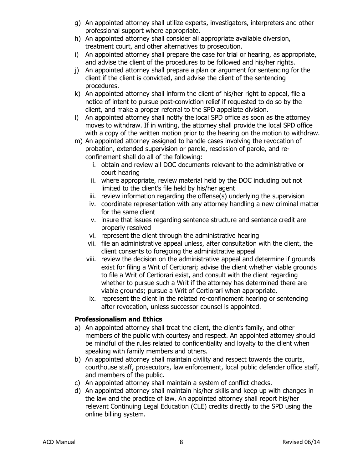- g) An appointed attorney shall utilize experts, investigators, interpreters and other professional support where appropriate.
- h) An appointed attorney shall consider all appropriate available diversion, treatment court, and other alternatives to prosecution.
- i) An appointed attorney shall prepare the case for trial or hearing, as appropriate, and advise the client of the procedures to be followed and his/her rights.
- j) An appointed attorney shall prepare a plan or argument for sentencing for the client if the client is convicted, and advise the client of the sentencing procedures.
- k) An appointed attorney shall inform the client of his/her right to appeal, file a notice of intent to pursue post-conviction relief if requested to do so by the client, and make a proper referral to the SPD appellate division.
- l) An appointed attorney shall notify the local SPD office as soon as the attorney moves to withdraw. If in writing, the attorney shall provide the local SPD office with a copy of the written motion prior to the hearing on the motion to withdraw.
- m) An appointed attorney assigned to handle cases involving the revocation of probation, extended supervision or parole, rescission of parole, and reconfinement shall do all of the following:
	- i. obtain and review all DOC documents relevant to the administrative or court hearing
	- ii. where appropriate, review material held by the DOC including but not limited to the client's file held by his/her agent
	- iii. review information regarding the offense(s) underlying the supervision
	- iv. coordinate representation with any attorney handling a new criminal matter for the same client
	- v. insure that issues regarding sentence structure and sentence credit are properly resolved
	- vi. represent the client through the administrative hearing
	- vii. file an administrative appeal unless, after consultation with the client, the client consents to foregoing the administrative appeal
	- viii. review the decision on the administrative appeal and determine if grounds exist for filing a Writ of Certiorari; advise the client whether viable grounds to file a Writ of Certiorari exist, and consult with the client regarding whether to pursue such a Writ if the attorney has determined there are viable grounds; pursue a Writ of Certiorari when appropriate.
	- ix. represent the client in the related re-confinement hearing or sentencing after revocation, unless successor counsel is appointed.

# **Professionalism and Ethics**

- a) An appointed attorney shall treat the client, the client's family, and other members of the public with courtesy and respect. An appointed attorney should be mindful of the rules related to confidentiality and loyalty to the client when speaking with family members and others.
- b) An appointed attorney shall maintain civility and respect towards the courts, courthouse staff, prosecutors, law enforcement, local public defender office staff, and members of the public.
- c) An appointed attorney shall maintain a system of conflict checks.
- d) An appointed attorney shall maintain his/her skills and keep up with changes in the law and the practice of law. An appointed attorney shall report his/her relevant Continuing Legal Education (CLE) credits directly to the SPD using the online billing system.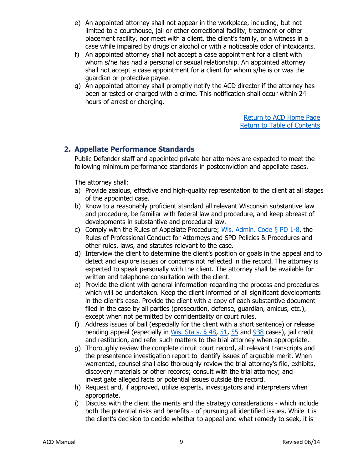- e) An appointed attorney shall not appear in the workplace, including, but not limited to a courthouse, jail or other correctional facility, treatment or other placement facility, nor meet with a client, the client's family, or a witness in a case while impaired by drugs or alcohol or with a noticeable odor of intoxicants.
- f) An appointed attorney shall not accept a case appointment for a client with whom s/he has had a personal or sexual relationship. An appointed attorney shall not accept a case appointment for a client for whom s/he is or was the guardian or protective payee.
- g) An appointed attorney shall promptly notify the ACD director if the attorney has been arrested or charged with a crime. This notification shall occur within 24 hours of arrest or charging.

[Return](https://www.wispd.gov/assigned-counsel-division) to ACD Home Pag[e](http://wispd.org/images/Newsletter_for_April_2015.pdf) [Return to Table of Contents](#page-0-0)

# <span id="page-9-0"></span>**2. Appellate Performance Standards**

Public Defender staff and appointed private bar attorneys are expected to meet the following minimum performance standards in postconviction and appellate cases.

The attorney shall:

- a) Provide zealous, effective and high-quality representation to the client at all stages of the appointed case.
- b) Know to a reasonably proficient standard all relevant Wisconsin substantive law and procedure, be familiar with federal law and procedure, and keep abreast of developments in substantive and procedural law.
- c) Comply with the Rules of Appellate Procedure; [Wis. Admin. Code § PD](https://docs.legis.wisconsin.gov/code/admin_code/pd) 1-8, the Rules of Professional Conduct for Attorneys and SPD Policies & Procedures and other rules, laws, and statutes relevant to the case.
- d) Interview the client to determine the client's position or goals in the appeal and to detect and explore issues or concerns not reflected in the record. The attorney is expected to speak personally with the client. The attorney shall be available for written and telephone consultation with the client.
- e) Provide the client with general information regarding the process and procedures which will be undertaken. Keep the client informed of all significant developments in the client's case. Provide the client with a copy of each substantive document filed in the case by all parties (prosecution, defense, guardian, amicus, etc.), except when not permitted by confidentiality or court rules.
- f) Address issues of bail (especially for the client with a short sentence) or release pending appeal (especially in Wis. Stats.  $\S$  48, [51,](https://docs.legis.wisconsin.gov/statutes/statutes/51) [55](https://docs.legis.wisconsin.gov/statutes/statutes/55) and  $938$  cases), jail credit and restitution, and refer such matters to the trial attorney when appropriate.
- g) Thoroughly review the complete circuit court record, all relevant transcripts and the presentence investigation report to identify issues of arguable merit. When warranted, counsel shall also thoroughly review the trial attorney's file, exhibits, discovery materials or other records; consult with the trial attorney; and investigate alleged facts or potential issues outside the record.
- h) Request and, if approved, utilize experts, investigators and interpreters when appropriate.
- i) Discuss with the client the merits and the strategy considerations which include both the potential risks and benefits - of pursuing all identified issues. While it is the client's decision to decide whether to appeal and what remedy to seek, it is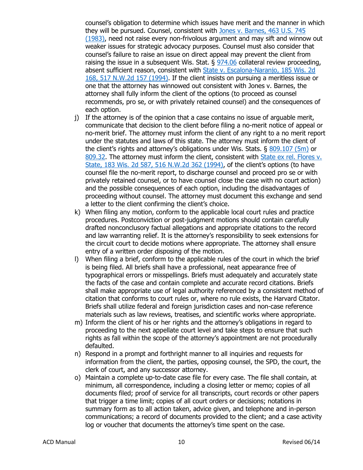counsel's obligation to determine which issues have merit and the manner in which they will be pursued. Counsel, consistent with [Jones v. Barnes, 463 U.S. 745](https://caselaw.findlaw.com/us-supreme-court/463/745.html)  [\(1983\),](https://caselaw.findlaw.com/us-supreme-court/463/745.html) need not raise every non-frivolous argument and may sift and winnow out weaker issues for strategic advocacy purposes. Counsel must also consider that counsel's failure to raise an issue on direct appeal may prevent the client from raising the issue in a subsequent Wis. Stat.  $\S 974.06$  $\S 974.06$  collateral review proceeding, absent sufficient reason, consistent with **State v. Escalona-Naranjo**, 185 Wis. 2d [168, 517 N.W.2d 157 \(1994\).](https://law.justia.com/cases/wisconsin/supreme-court/1994/92-0846-9.html) If the client insists on pursuing a meritless issue or one that the attorney has winnowed out consistent with Jones v. Barnes, the attorney shall fully inform the client of the options (to proceed as counsel recommends, pro se, or with privately retained counsel) and the consequences of each option.

- j) If the attorney is of the opinion that a case contains no issue of arguable merit, communicate that decision to the client before filing a no-merit notice of appeal or no-merit brief. The attorney must inform the client of any right to a no merit report under the statutes and laws of this state. The attorney must inform the client of the client's rights and attorney's obligations under Wis. Stats. § [809.107 \(5m\)](https://docs.legis.wisconsin.gov/statutes/statutes/809/ii/107/5m) or [809.32.](https://docs.legis.wisconsin.gov/statutes/statutes/809/iii/32) The attorney must inform the client, consistent with [State ex rel. Flores v.](https://www.leagle.com/decision/1994770183wis2d5871729)  [State, 183 Wis. 2d 587, 516 N.W.2d 362 \(1994\),](https://www.leagle.com/decision/1994770183wis2d5871729) of the client's options (to have counsel file the no-merit report, to discharge counsel and proceed pro se or with privately retained counsel, or to have counsel close the case with no court action) and the possible consequences of each option, including the disadvantages of proceeding without counsel. The attorney must document this exchange and send a letter to the client confirming the client's choice.
- k) When filing any motion, conform to the applicable local court rules and practice procedures. Postconviction or post-judgment motions should contain carefully drafted nonconclusory factual allegations and appropriate citations to the record and law warranting relief. It is the attorney's responsibility to seek extensions for the circuit court to decide motions where appropriate. The attorney shall ensure entry of a written order disposing of the motion.
- l) When filing a brief, conform to the applicable rules of the court in which the brief is being filed. All briefs shall have a professional, neat appearance free of typographical errors or misspellings. Briefs must adequately and accurately state the facts of the case and contain complete and accurate record citations. Briefs shall make appropriate use of legal authority referenced by a consistent method of citation that conforms to court rules or, where no rule exists, the Harvard Citator. Briefs shall utilize federal and foreign jurisdiction cases and non-case reference materials such as law reviews, treatises, and scientific works where appropriate.
- m) Inform the client of his or her rights and the attorney's obligations in regard to proceeding to the next appellate court level and take steps to ensure that such rights as fall within the scope of the attorney's appointment are not procedurally defaulted.
- n) Respond in a prompt and forthright manner to all inquiries and requests for information from the client, the parties, opposing counsel, the SPD, the court, the clerk of court, and any successor attorney.
- o) Maintain a complete up-to-date case file for every case. The file shall contain, at minimum, all correspondence, including a closing letter or memo; copies of all documents filed; proof of service for all transcripts, court records or other papers that trigger a time limit; copies of all court orders or decisions; notations in summary form as to all action taken, advice given, and telephone and in-person communications; a record of documents provided to the client; and a case activity log or voucher that documents the attorney's time spent on the case.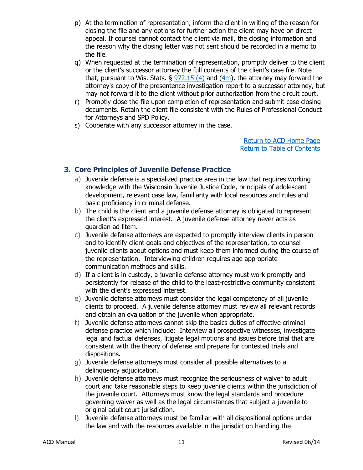- p) At the termination of representation, inform the client in writing of the reason for closing the file and any options for further action the client may have on direct appeal. If counsel cannot contact the client via mail, the closing information and the reason why the closing letter was not sent should be recorded in a memo to the file.
- q) When requested at the termination of representation, promptly deliver to the client or the client's successor attorney the full contents of the client's case file. Note that, pursuant to Wis. Stats.  $\S$  [972.15 \(4\)](https://docs.legis.wisconsin.gov/statutes/statutes/972/15/4) and [\(4m\)](https://docs.legis.wisconsin.gov/statutes/statutes/972/15/4m), the attorney may forward the attorney's copy of the presentence investigation report to a successor attorney, but may not forward it to the client without prior authorization from the circuit court.
- r) Promptly close the file upon completion of representation and submit case closing documents. Retain the client file consistent with the Rules of Professional Conduct for Attorneys and SPD Policy.
- s) Cooperate with any successor attorney in the case.

[Return](https://www.wispd.gov/assigned-counsel-division) to ACD Home Pag[e](http://wispd.org/images/Newsletter_for_April_2015.pdf) [Return to Table of Contents](#page-0-0)

# <span id="page-11-0"></span>**3. Core Principles of Juvenile Defense Practice**

- a) Juvenile defense is a specialized practice area in the law that requires working knowledge with the Wisconsin Juvenile Justice Code, principals of adolescent development, relevant case law, familiarity with local resources and rules and basic proficiency in criminal defense.
- b) The child is the client and a juvenile defense attorney is obligated to represent the client's expressed interest. A juvenile defense attorney never acts as guardian ad litem.
- c) Juvenile defense attorneys are expected to promptly interview clients in person and to identify client goals and objectives of the representation, to counsel juvenile clients about options and must keep them informed during the course of the representation. Interviewing children requires age appropriate communication methods and skills.
- d) If a client is in custody, a juvenile defense attorney must work promptly and persistently for release of the child to the least-restrictive community consistent with the client's expressed interest.
- e) Juvenile defense attorneys must consider the legal competency of all juvenile clients to proceed. A juvenile defense attorney must review all relevant records and obtain an evaluation of the juvenile when appropriate.
- f) Juvenile defense attorneys cannot skip the basics duties of effective criminal defense practice which include: Interview all prospective witnesses, investigate legal and factual defenses, litigate legal motions and issues before trial that are consistent with the theory of defense and prepare for contested trials and dispositions.
- g) Juvenile defense attorneys must consider all possible alternatives to a delinquency adjudication.
- h) Juvenile defense attorneys must recognize the seriousness of waiver to adult court and take reasonable steps to keep juvenile clients within the jurisdiction of the juvenile court. Attorneys must know the legal standards and procedure governing waiver as well as the legal circumstances that subject a juvenile to original adult court jurisdiction.
- i) Juvenile defense attorneys must be familiar with all dispositional options under the law and with the resources available in the jurisdiction handling the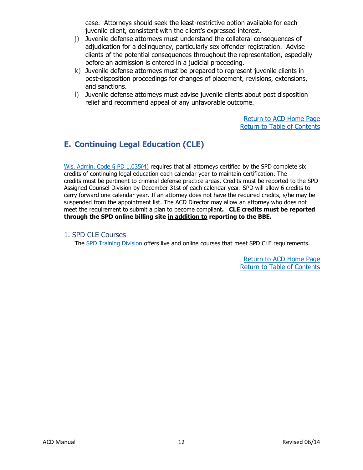case. Attorneys should seek the least-restrictive option available for each juvenile client, consistent with the client's expressed interest.

- j) Juvenile defense attorneys must understand the collateral consequences of adjudication for a delinquency, particularly sex offender registration. Advise clients of the potential consequences throughout the representation, especially before an admission is entered in a judicial proceeding.
- k) Juvenile defense attorneys must be prepared to represent juvenile clients in post-disposition proceedings for changes of placement, revisions, extensions, and sanctions.
- l) Juvenile defense attorneys must advise juvenile clients about post disposition relief and recommend appeal of any unfavorable outcome.

[Return](https://www.wispd.gov/assigned-counsel-division) to ACD Home Pag[e](http://wispd.org/images/Newsletter_for_April_2015.pdf) [Return to Table of Contents](#page-0-0)

# <span id="page-12-0"></span>**E. Continuing Legal Education (CLE)**

[Wis. Admin. Code § PD 1.035\(4\)](https://docs.legis.wisconsin.gov/code/admin_code/pd/1/035/4) requires that all attorneys certified by the SPD complete six credits of continuing legal education each calendar year to maintain certification. The credits must be pertinent to criminal defense practice areas. Credits must be reported to the SPD Assigned Counsel Division by December 31st of each calendar year. SPD will allow 6 credits to carry forward one calendar year. If an attorney does not have the required credits, s/he may be suspended from the appointment list. The ACD Director may allow an attorney who does not meet the requirement to submit a plan to become compliant**. CLE credits must be reported through the SPD [online billing s](https://pb.opd.wi.gov/pbaccess/login.aspx)ite in addition to reporting to the BBE.**

<span id="page-12-1"></span>1. SPD CLE Courses

The [SPD Training Division](https://www.wispd.gov/training) offers live and online courses that meet SPD CLE requirements.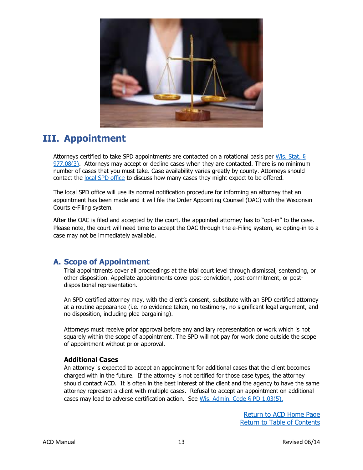

# <span id="page-13-0"></span>**III. Appointment**

Attorneys certified to take SPD appointments are contacted on a rotational basis per [Wis. Stat. §](https://docs.legis.wisconsin.gov/statutes/statutes/977/08/3)   $977.08(3)$ . Attorneys may accept or decline cases when they are contacted. There is no minimum number of cases that you must take. Case availability varies greatly by county. Attorneys should contact the [local SPD office](https://www.wispd.gov/office-locations) to discuss how many cases they might expect to be offered.

The local SPD office will use its normal notification procedure for informing an attorney that an appointment has been made and it will file the Order Appointing Counsel (OAC) with the Wisconsin Courts e-Filing system.

After the OAC is filed and accepted by the court, the appointed attorney has to "opt-in" to the case. Please note, the court will need time to accept the OAC through the e-Filing system, so opting-in to a case may not be immediately available.

# <span id="page-13-1"></span>**A. Scope of Appointment**

Trial appointments cover all proceedings at the trial court level through dismissal, sentencing, or other disposition. Appellate appointments cover post-conviction, post-commitment, or postdispositional representation.

An SPD certified attorney may, with the client's consent, substitute with an SPD certified attorney at a routine appearance (i.e. no evidence taken, no testimony, no significant legal argument, and no disposition, including plea bargaining).

Attorneys must receive prior approval before any ancillary representation or work which is not squarely within the scope of appointment. The SPD will not pay for work done outside the scope of appointment without prior approval.

# **Additional Cases**

An attorney is expected to accept an appointment for additional cases that the client becomes charged with in the future. If the attorney is not certified for those case types, the attorney should contact ACD. It is often in the best interest of the client and the agency to have the same attorney represent a client with multiple cases. Refusal to accept an appointment on additional cases may lead to adverse certification action. See Wis. Admin. Code  $\S$  PD 1.03(5).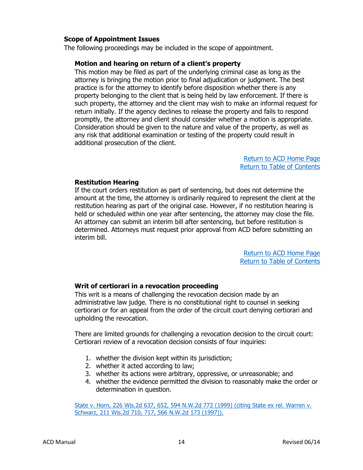### **Scope of Appointment Issues**

The following proceedings may be included in the scope of appointment.

### **Motion and hearing on return of a client's property**

This motion may be filed as part of the underlying criminal case as long as the attorney is bringing the motion prior to final adjudication or judgment. The best practice is for the attorney to identify before disposition whether there is any property belonging to the client that is being held by law enforcement. If there is such property, the attorney and the client may wish to make an informal request for return initially. If the agency declines to release the property and fails to respond promptly, the attorney and client should consider whether a motion is appropriate. Consideration should be given to the nature and value of the property, as well as any risk that additional examination or testing of the property could result in additional prosecution of the client.

> [Return](https://www.wispd.gov/assigned-counsel-division) to ACD Home Pag[e](http://wispd.org/images/Newsletter_for_April_2015.pdf) [Return to Table of Contents](#page-0-0)

#### **Restitution Hearing**

If the court orders restitution as part of sentencing, but does not determine the amount at the time, the attorney is ordinarily required to represent the client at the restitution hearing as part of the original case. However, if no restitution hearing is held or scheduled within one year after sentencing, the attorney may close the file. An attorney can submit an interim bill after sentencing, but before restitution is determined. Attorneys must request prior approval from ACD before submitting an interim bill.

> [Return](https://www.wispd.gov/assigned-counsel-division) to ACD Home Pag[e](http://wispd.org/images/Newsletter_for_April_2015.pdf) [Return to Table of Contents](#page-0-0)

### **Writ of certiorari in a revocation proceeding**

This writ is a means of challenging the revocation decision made by an administrative law judge. There is no constitutional right to counsel in seeking certiorari or for an appeal from the order of the circuit court denying certiorari and upholding the revocation.

There are limited grounds for challenging a revocation decision to the circuit court: Certiorari review of a revocation decision consists of four inquiries:

- 1. whether the division kept within its jurisdiction;
- 2. whether it acted according to law;
- 3. whether its actions were arbitrary, oppressive, or unreasonable; and
- 4. whether the evidence permitted the division to reasonably make the order or determination in question.

[State v. Horn, 226 Wis.2d 637, 652, 594 N.W.2d 772 \(1999\) \(citing State ex rel. Warren v.](https://caselaw.findlaw.com/wi-supreme-court/1313392.html)  [Schwarz, 211 Wis.2d 710, 717, 566 N.W.2d 173 \(1997\)\).](https://caselaw.findlaw.com/wi-supreme-court/1313392.html)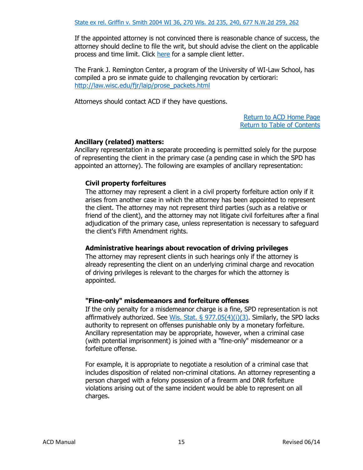If the appointed attorney is not convinced there is reasonable chance of success, the attorney should decline to file the writ, but should advise the client on the applicable process and time limit. Click [here](https://84e28956-0578-4c79-a8c4-ccd0bb6f7172.filesusr.com/ugd/d7d26b_7824991ba32f420ba2dd80ce67d76996.pdf) for a sample client letter.

The Frank J. Remington Center, a program of the University of WI-Law School, has compiled a pro se inmate guide to challenging revocation by certiorari: [http://law.wisc.edu/fjr/laip/prose\\_packets.html](http://law.wisc.edu/fjr/laip/prose_packets.html)

Attorneys should contact ACD if they have questions.

[Return](https://www.wispd.gov/assigned-counsel-division) to ACD Home Pag[e](http://wispd.org/images/Newsletter_for_April_2015.pdf) [Return to Table of Contents](#page-0-0)

# **Ancillary (related) matters:**

Ancillary representation in a separate proceeding is permitted solely for the purpose of representing the client in the primary case (a pending case in which the SPD has appointed an attorney). The following are examples of ancillary representation:

### **Civil property forfeitures**

The attorney may represent a client in a civil property forfeiture action only if it arises from another case in which the attorney has been appointed to represent the client. The attorney may not represent third parties (such as a relative or friend of the client), and the attorney may not litigate civil forfeitures after a final adjudication of the primary case, unless representation is necessary to safeguard the client's Fifth Amendment rights.

# **Administrative hearings about revocation of driving privileges**

The attorney may represent clients in such hearings only if the attorney is already representing the client on an underlying criminal charge and revocation of driving privileges is relevant to the charges for which the attorney is appointed.

### **"Fine-only" misdemeanors and forfeiture offenses**

If the only penalty for a misdemeanor charge is a fine, SPD representation is not affirmatively authorized. See Wis. Stat.  $\frac{5}{977.05(4)(i)(3)}$ . Similarly, the SPD lacks authority to represent on offenses punishable only by a monetary forfeiture. Ancillary representation may be appropriate, however, when a criminal case (with potential imprisonment) is joined with a "fine-only" misdemeanor or a forfeiture offense.

For example, it is appropriate to negotiate a resolution of a criminal case that includes disposition of related non-criminal citations. An attorney representing a person charged with a felony possession of a firearm and DNR forfeiture violations arising out of the same incident would be able to represent on all charges.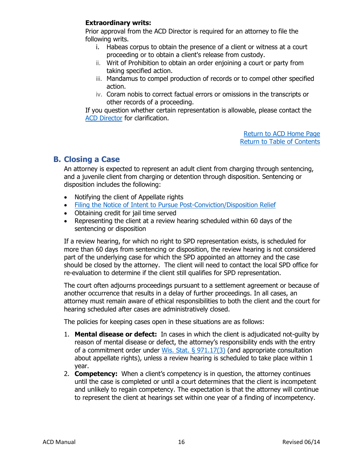### **Extraordinary writs:**

Prior approval from the ACD Director is required for an attorney to file the following writs.

- i. Habeas corpus to obtain the presence of a client or witness at a court proceeding or to obtain a client's release from custody.
- ii. Writ of Prohibition to obtain an order enjoining a court or party from taking specified action.
- iii. Mandamus to compel production of records or to compel other specified action.
- iv. Coram nobis to correct factual errors or omissions in the transcripts or other records of a proceeding.

If you question whether certain representation is allowable, please contact the [ACD Director](mailto:ACD@OPD.WI.GOV?subject=ACD%20Director) for clarification.

> [Return](https://www.wispd.gov/assigned-counsel-division) to ACD Home Pag[e](http://wispd.org/images/Newsletter_for_April_2015.pdf) [Return to Table of Contents](#page-0-0)

# <span id="page-16-0"></span>**B. Closing a Case**

An attorney is expected to represent an adult client from charging through sentencing, and a juvenile client from charging or detention through disposition. Sentencing or disposition includes the following:

- Notifying the client of Appellate rights
- [Filing the Notice of Intent to Pursue Post-Conviction/Disposition Relief](https://www.wispd.gov/_files/ugd/ef2438_f2affd2d62424c39b38fdd24d85d47b2.pdf)
- Obtaining credit for jail time served
- Representing the client at a review hearing scheduled within 60 days of the sentencing or disposition

If a review hearing, for which no right to SPD representation exists, is scheduled for more than 60 days from sentencing or disposition, the review hearing is not considered part of the underlying case for which the SPD appointed an attorney and the case should be closed by the attorney. The client will need to contact the local SPD office for re-evaluation to determine if the client still qualifies for SPD representation.

The court often adjourns proceedings pursuant to a settlement agreement or because of another occurrence that results in a delay of further proceedings. In all cases, an attorney must remain aware of ethical responsibilities to both the client and the court for hearing scheduled after cases are administratively closed.

The policies for keeping cases open in these situations are as follows:

- 1. **Mental disease or defect:** In cases in which the client is adjudicated not-guilty by reason of mental disease or defect, the attorney's responsibility ends with the entry of a commitment order under Wis. Stat.  $\S$  971.17(3) (and appropriate consultation about appellate rights), unless a review hearing is scheduled to take place within 1 year.
- 2. **Competency:** When a client's competency is in question, the attorney continues until the case is completed or until a court determines that the client is incompetent and unlikely to regain competency. The expectation is that the attorney will continue to represent the client at hearings set within one year of a finding of incompetency.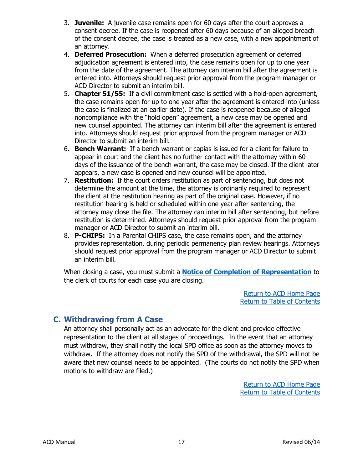- 3. **Juvenile:** A juvenile case remains open for 60 days after the court approves a consent decree. If the case is reopened after 60 days because of an alleged breach of the consent decree, the case is treated as a new case, with a new appointment of an attorney.
- 4. **Deferred Prosecution:** When a deferred prosecution agreement or deferred adjudication agreement is entered into, the case remains open for up to one year from the date of the agreement. The attorney can interim bill after the agreement is entered into. Attorneys should request prior approval from the program manager or ACD Director to submit an interim bill.
- 5. **Chapter 51/55:** If a civil commitment case is settled with a hold-open agreement, the case remains open for up to one year after the agreement is entered into (unless the case is finalized at an earlier date). If the case is reopened because of alleged noncompliance with the "hold open" agreement, a new case may be opened and new counsel appointed. The attorney can interim bill after the agreement is entered into. Attorneys should request prior approval from the program manager or ACD Director to submit an interim bill.
- 6. **Bench Warrant:** If a bench warrant or capias is issued for a client for failure to appear in court and the client has no further contact with the attorney within 60 days of the issuance of the bench warrant, the case may be closed. If the client later appears, a new case is opened and new counsel will be appointed.
- 7. **Restitution:** If the court orders restitution as part of sentencing, but does not determine the amount at the time, the attorney is ordinarily required to represent the client at the restitution hearing as part of the original case. However, if no restitution hearing is held or scheduled within one year after sentencing, the attorney may close the file. The attorney can interim bill after sentencing, but before restitution is determined. Attorneys should request prior approval from the program manager or ACD Director to submit an interim bill.
- 8. **P-CHIPS:** In a Parental CHIPS case, the case remains open, and the attorney provides representation, during periodic permanency plan review hearings. Attorneys should request prior approval from the program manager or ACD Director to submit an interim bill.

When closing a case, you must submit a **[Notice of Completion of Representation](https://84e28956-0578-4c79-a8c4-ccd0bb6f7172.filesusr.com/ugd/d7d26b_76286a57126a4b46b3502e8141027e68.pdf)** to the clerk of courts for each case you are closing.

> [Return](https://www.wispd.gov/assigned-counsel-division) to ACD Home Pag[e](http://wispd.org/images/Newsletter_for_April_2015.pdf) [Return to Table of Contents](#page-0-0)

# <span id="page-17-0"></span>**C. Withdrawing from A Case**

An attorney shall personally act as an advocate for the client and provide effective representation to the client at all stages of proceedings. In the event that an attorney must withdraw, they shall notify the local SPD office as soon as the attorney moves to withdraw. If the attorney does not notify the SPD of the withdrawal, the SPD will not be aware that new counsel needs to be appointed. (The courts do not notify the SPD when motions to withdraw are filed.)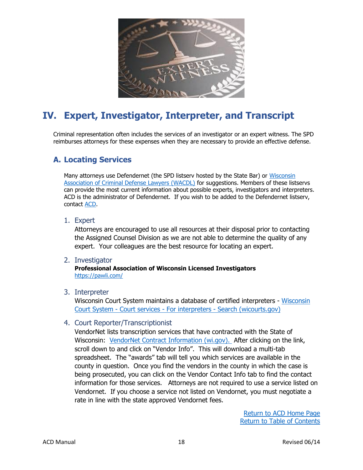

# <span id="page-18-0"></span>**IV. Expert, Investigator, Interpreter, and Transcript**

Criminal representation often includes the services of an investigator or an expert witness. The SPD reimburses attorneys for these expenses when they are necessary to provide an effective defense.

# <span id="page-18-1"></span>**A. Locating Services**

Many attorneys use Defendernet (the SPD listserv hosted by the State Bar) or [Wisconsin](https://www.wacdl.com/)  [Association of Criminal Defense Lawyers \(WACDL\)](https://www.wacdl.com/) for suggestions. Members of these listservs can provide the most current information about possible experts, investigators and interpreters. ACD is the administrator of Defendernet. If you wish to be added to the Defendernet listserv, contact [ACD.](mailto:ACD@OPD.WI.GOV?subject=Defendernet)

<span id="page-18-2"></span>1. Expert

Attorneys are encouraged to use all resources at their disposal prior to contacting the Assigned Counsel Division as we are not able to determine the quality of any expert. Your colleagues are the best resource for locating an expert.

<span id="page-18-3"></span>2. Investigator

**Professional Association of Wisconsin Licensed Investigators** <https://pawli.com/>

<span id="page-18-4"></span>3. Interpreter

Wisconsin Court System maintains a database of certified interpreters - [Wisconsin](https://www.wicourts.gov/services/interpreter/search.htm)  Court System - Court services - For interpreters - [Search \(wicourts.gov\)](https://www.wicourts.gov/services/interpreter/search.htm)

<span id="page-18-5"></span>4. Court Reporter/Transcriptionist

VendorNet lists transcription services that have contracted with the State of Wisconsin: [VendorNet Contract Information \(wi.gov\).](https://vendornet.wi.gov/Contract.aspx?Id=2784f864-580b-ec11-8134-0050568c7f0f) After clicking on the link, scroll down to and click on "Vendor Info". This will download a multi-tab spreadsheet. The "awards" tab will tell you which services are available in the county in question. Once you find the vendors in the county in which the case is being prosecuted, you can click on the Vendor Contact Info tab to find the contact information for those services. Attorneys are not required to use a service listed on Vendornet. If you choose a service not listed on Vendornet, you must negotiate a rate in line with the state approved Vendornet fees.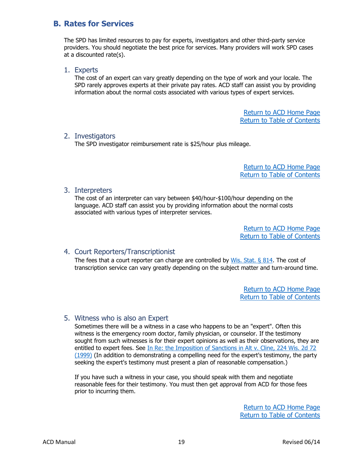# <span id="page-19-0"></span>**B. Rates for Services**

The SPD has limited resources to pay for experts, investigators and other third-party service providers. You should negotiate the best price for services. Many providers will work SPD cases at a discounted rate(s).

#### <span id="page-19-1"></span>1. Experts

The cost of an expert can vary greatly depending on the type of work and your locale. The SPD rarely approves experts at their private pay rates. ACD staff can assist you by providing information about the normal costs associated with various types of expert services.

> [Return](https://www.wispd.gov/assigned-counsel-division) to ACD Home Pag[e](http://wispd.org/images/Newsletter_for_April_2015.pdf) [Return to Table of Contents](#page-0-0)

### <span id="page-19-2"></span>2. Investigators

The SPD investigator reimbursement rate is \$25/hour plus mileage.

[Return](https://www.wispd.gov/assigned-counsel-division) to ACD Home Pag[e](http://wispd.org/images/Newsletter_for_April_2015.pdf) [Return to Table of Contents](#page-0-0)

### <span id="page-19-3"></span>3. Interpreters

The cost of an interpreter can vary between \$40/hour-\$100/hour depending on the language. ACD staff can assist you by providing information about the normal costs associated with various types of interpreter services.

> [Return](https://www.wispd.gov/assigned-counsel-division) to ACD Home Pag[e](http://wispd.org/images/Newsletter_for_April_2015.pdf) [Return to Table of Contents](#page-0-0)

# <span id="page-19-4"></span>4. Court Reporters/Transcriptionist

The fees that a court reporter can charge are controlled by  $W$ is. Stat. § 814. The cost of transcription service can vary greatly depending on the subject matter and turn-around time.

> [Return](https://www.wispd.gov/assigned-counsel-division) to ACD Home Pag[e](http://wispd.org/images/Newsletter_for_April_2015.pdf) [Return to Table of Contents](#page-0-0)

### <span id="page-19-5"></span>5. Witness who is also an Expert

Sometimes there will be a witness in a case who happens to be an "expert". Often this witness is the emergency room doctor, family physician, or counselor. If the testimony sought from such witnesses is for their expert opinions as well as their observations, they are entitled to expert fees. See In Re: the Imposition of Sanctions in Alt v. Cline, 224 Wis. 2d 72 [\(1999\)](https://casetext.com/case/burnett-v-alt) (In addition to demonstrating a compelling need for the expert's testimony, the party seeking the expert's testimony must present a plan of reasonable compensation.)

If you have such a witness in your case, you should speak with them and negotiate reasonable fees for their testimony. You must then get approval from ACD for those fees prior to incurring them.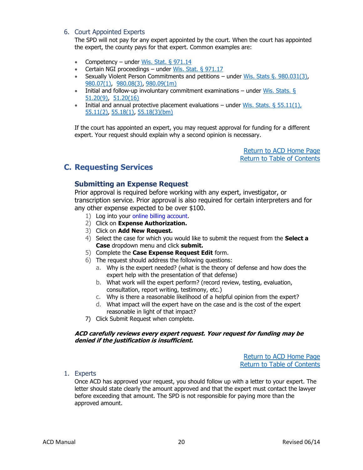#### <span id="page-20-0"></span>6. Court Appointed Experts

The SPD will not pay for any expert appointed by the court. When the court has appointed the expert, the county pays for that expert. Common examples are:

- Competency under Wis. Stat.  $\S 971.14$
- Certain NGI proceedings under [Wis. Stat. § 971.17](https://docs.legis.wisconsin.gov/statutes/statutes/971/17)
- Sexually Violent Person Commitments and petitions under [Wis. Stats §. 980.031\(3\),](https://docs.legis.wisconsin.gov/statutes/statutes/980/031/3) [980.07\(1\),](https://docs.legis.wisconsin.gov/statutes/statutes/980/07/1) [980.08\(3\),](https://docs.legis.wisconsin.gov/statutes/statutes/980/08/3) [980.09\(1m\)](https://docs.legis.wisconsin.gov/statutes/statutes/980/09/1m)
- Initial and follow-up involuntary commitment examinations under Wis. Stats.  $\S$ [51.20\(9\),](https://docs.legis.wisconsin.gov/statutes/statutes/51/20/9) [51.20\(16\)](https://docs.legis.wisconsin.gov/statutes/statutes/51/20/16)
- Initial and annual protective placement evaluations under Wis. Stats.  $\S 55.11(1)$ , [55.11\(2\),](https://docs.legis.wisconsin.gov/statutes/statutes/55/11/2) [55.18\(1\),](https://docs.legis.wisconsin.gov/statutes/statutes/55/18/1) [55.18\(3\)\(bm\)](https://docs.legis.wisconsin.gov/statutes/statutes/55/18/3/bm)

If the court has appointed an expert, you may request approval for funding for a different expert. Your request should explain why a second opinion is necessary.

> [Return](https://www.wispd.gov/assigned-counsel-division) to ACD Home Pag[e](http://wispd.org/images/Newsletter_for_April_2015.pdf) [Return to Table of Contents](#page-0-0)

# <span id="page-20-2"></span><span id="page-20-1"></span>**C. Requesting Services**

# **Submitting an Expense Request**

Prior approval is required before working with any expert, investigator, or transcription service. Prior approval is also required for certain interpreters and for any other expense expected to be over \$100.

- 1) Log into your [online billing account.](https://pb.opd.wi.gov/pbaccess/login.aspx)
- 2) Click on **Expense Authorization.**
- 3) Click on **Add New Request.**
- 4) Select the case for which you would like to submit the request from the **Select a Case** dropdown menu and click **submit.**
- 5) Complete the **Case Expense Request Edit** form.
- 6) The request should address the following questions:
	- a. Why is the expert needed? (what is the theory of defense and how does the expert help with the presentation of that defense)
	- b. What work will the expert perform? (record review, testing, evaluation, consultation, report writing, testimony, etc.)
	- c. Why is there a reasonable likelihood of a helpful opinion from the expert?
	- d. What impact will the expert have on the case and is the cost of the expert reasonable in light of that impact?
- 7) Click Submit Request when complete.

#### **ACD carefully reviews every expert request. Your request for funding may be denied if the justification is insufficient.**

[Return](https://www.wispd.gov/assigned-counsel-division) to ACD Home Pag[e](http://wispd.org/images/Newsletter_for_April_2015.pdf) [Return to Table of Contents](#page-0-0)

<span id="page-20-3"></span>1. Experts

Once ACD has approved your request, you should follow up with a letter to your expert. The letter should state clearly the amount approved and that the expert must contact the lawyer before exceeding that amount. The SPD is not responsible for paying more than the approved amount.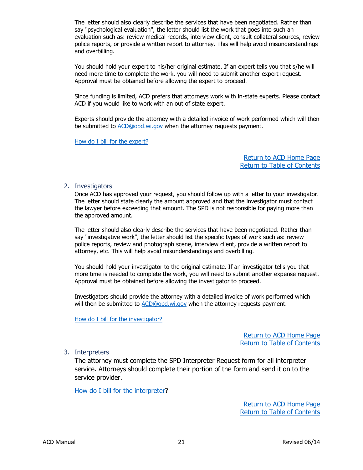The letter should also clearly describe the services that have been negotiated. Rather than say "psychological evaluation", the letter should list the work that goes into such an evaluation such as: review medical records, interview client, consult collateral sources, review police reports, or provide a written report to attorney. This will help avoid misunderstandings and overbilling.

You should hold your expert to his/her original estimate. If an expert tells you that s/he will need more time to complete the work, you will need to submit another expert request. Approval must be obtained before allowing the expert to proceed.

Since funding is limited, ACD prefers that attorneys work with in-state experts. Please contact ACD if you would like to work with an out of state expert.

Experts should provide the attorney with a detailed invoice of work performed which will then be submitted to [ACD@opd.wi.gov](mailto:ACD@opd.wi.gov?subject=Receipts%20for%20invoice%20-%20) when the attorney requests payment.

[How do I bill for the expert?](#page-33-1)

[Return](https://www.wispd.gov/assigned-counsel-division) to ACD Home Pag[e](http://wispd.org/images/Newsletter_for_April_2015.pdf) [Return to Table of Contents](#page-0-0)

#### <span id="page-21-0"></span>2. Investigators

Once ACD has approved your request, you should follow up with a letter to your investigator. The letter should state clearly the amount approved and that the investigator must contact the lawyer before exceeding that amount. The SPD is not responsible for paying more than the approved amount.

The letter should also clearly describe the services that have been negotiated. Rather than say "investigative work", the letter should list the specific types of work such as: review police reports, review and photograph scene, interview client, provide a written report to attorney, etc. This will help avoid misunderstandings and overbilling.

You should hold your investigator to the original estimate. If an investigator tells you that more time is needed to complete the work, you will need to submit another expense request. Approval must be obtained before allowing the investigator to proceed.

Investigators should provide the attorney with a detailed invoice of work performed which will then be submitted to [ACD@opd.wi.gov](mailto:ACD@opd.wi.gov?subject=Investigator%20Invoice%20for%20Invoice%20-%20) when the attorney requests payment.

[How do I bill for the investigator?](#page-33-1)

[Return](https://www.wispd.gov/assigned-counsel-division) to ACD Home Pag[e](http://wispd.org/images/Newsletter_for_April_2015.pdf) [Return to Table of Contents](#page-0-0)

<span id="page-21-1"></span>3. Interpreters

The attorney must complete the SPD Interpreter Request form for all interpreter service. Attorneys should complete their portion of the form and send it on to the service provider.

[How do I bill for the interpreter?](#page-28-3)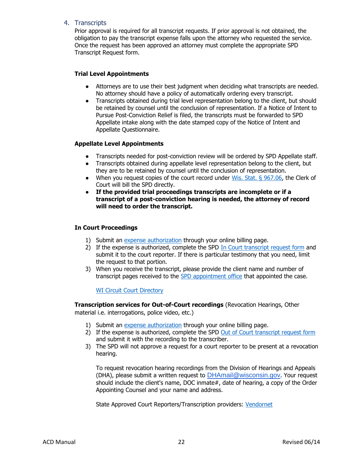#### <span id="page-22-0"></span>4. Transcripts

Prior approval is required for all transcript requests. If prior approval is not obtained, the obligation to pay the transcript expense falls upon the attorney who requested the service. Once the request has been approved an attorney must complete the appropriate SPD Transcript Request form.

#### **Trial Level Appointments**

- Attorneys are to use their best judgment when deciding what transcripts are needed. No attorney should have a policy of automatically ordering every transcript.
- Transcripts obtained during trial level representation belong to the client, but should be retained by counsel until the conclusion of representation. If a Notice of Intent to Pursue Post-Conviction Relief is filed, the transcripts must be forwarded to SPD Appellate intake along with the date stamped copy of the Notice of Intent and Appellate Questionnaire.

#### **Appellate Level Appointments**

- Transcripts needed for post-conviction review will be ordered by SPD Appellate staff.
- Transcripts obtained during appellate level representation belong to the client, but they are to be retained by counsel until the conclusion of representation.
- When you request copies of the court record under Wis. Stat.  $\S$  967.06, the Clerk of Court will bill the SPD directly.
- **If the provided trial proceedings transcripts are incomplete or if a transcript of a post-conviction hearing is needed, the attorney of record will need to order the transcript.**

#### **In Court Proceedings**

- 1) Submit an [expense authorization](https://pb.opd.wi.gov/pbaccess/login.aspx) through your online billing page.
- 2) If the expense is authorized, complete the SPD [In Court transcript request form](https://www.wispd.gov/_files/ugd/ef2438_bcc67445414a4d3ba08411126178f528.pdf) and submit it to the court reporter. If there is particular testimony that you need, limit the request to that portion.
- 3) When you receive the transcript, please provide the client name and number of transcript pages received to the [SPD appointment office](https://www.wispd.gov/office-locations) that appointed the case.

**[WI Circuit Court Directory](https://www.wicourts.gov/contact/directories.htm)** 

**Transcription services for Out-of-Court recordings** (Revocation Hearings, Other material i.e. interrogations, police video, etc.)

- 1) Submit an [expense authorization](https://pb.opd.wi.gov/pbaccess/login.aspx) through your online billing page.
- 2) If the expense is authorized, complete the SPD [Out of Court transcript request form](https://www.wispd.gov/_files/ugd/ef2438_37aeae1bdb71416b84c5f0535352b9fe.pdf) and submit it with the recording to the transcriber.
- 3) The SPD will not approve a request for a court reporter to be present at a revocation hearing.

To request revocation hearing recordings from the Division of Hearings and Appeals (DHA), please submit a written request to **[DHAmail@wisconsin.gov](mailto:DHAmail@wisconsin.gov).** Your request should include the client's name, DOC inmate#, date of hearing, a copy of the Order Appointing Counsel and your name and address.

State Approved Court Reporters/Transcription providers: [Vendornet](https://vendornet.wi.gov/Contract.aspx?Id=2784f864-580b-ec11-8134-0050568c7f0f)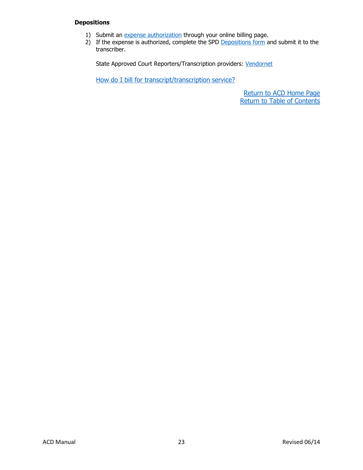#### **Depositions**

- 1) Submit an [expense authorization](https://pb.opd.wi.gov/pbaccess/login.aspx) through your online billing page.
- 2) If the expense is authorized, complete the SPD [Depositions form](https://www.wispd.gov/_files/ugd/ef2438_bb04ad72dca04983a497cfeaf59a10fe.pdf) and submit it to the transcriber.

State Approved Court Reporters/Transcription providers: [Vendornet](https://vendornet.wi.gov/Contract.aspx?Id=2784f864-580b-ec11-8134-0050568c7f0f)

[How do I bill for transcript/transcription service?](#page-29-2)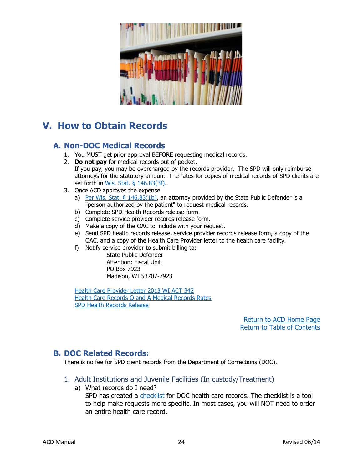

# <span id="page-24-0"></span>**V. How to Obtain Records**

# <span id="page-24-1"></span>**A. Non-DOC Medical Records**

- 1. You MUST get prior approval BEFORE requesting medical records.
- 2. **Do not pay** for medical records out of pocket. If you pay, you may be overcharged by the records provider. The SPD will only reimburse attorneys for the statutory amount. The rates for copies of medical records of SPD clients are set forth in [Wis. Stat. § 146.83\(3f\).](https://docs.legis.wisconsin.gov/document/statutes/146.83(3f))
- 3. Once ACD approves the expense
	- a) Per Wis. Stat.  $\S$  146.83(1b), an attorney provided by the State Public Defender is a "person authorized by the patient" to request medical records.
	- b) Complete SPD Health Records release form.
	- c) Complete service provider records release form.
	- d) Make a copy of the OAC to include with your request.
	- e) Send SPD health records release, service provider records release form, a copy of the OAC, and a copy of the Health Care Provider letter to the health care facility.
	- f) Notify service provider to submit billing to:

State Public Defender Attention: Fiscal Unit PO Box 7923 Madison, WI 53707-7923

[Health Care Provider Letter 2013 WI ACT 342](https://www.wispd.gov/_files/ugd/d7d26b_2a58344245be4d40ac23417de84dcda5.pdf) [Health Care Records Q and A Medical Records Rates](https://www.wispd.gov/_files/ugd/ef2438_bf2efc9c499a430aa0443590cb64245b.pdf) [SPD Health Records Release](https://www.wispd.gov/_files/ugd/ef2438_27dccdf62c264674aed10f26940d5064.pdf)

> [Return](https://www.wispd.gov/assigned-counsel-division) to ACD Hom[e](http://wispd.org/images/Newsletter_for_April_2015.pdf) Page [Return to Table of Contents](#page-0-0)

# <span id="page-24-2"></span>**B. DOC Related Records:**

There is no fee for SPD client records from the Department of Corrections (DOC).

- <span id="page-24-3"></span>1. [Adult Institutions and Juvenile Facilities](http://www.wispd.org/images/HowtoOrderDOCMedicalRecords_Adult_JUVENILE_INCUSTODY.pdf) (In custody/Treatment)
	- a) What records do I need? SPD has created a [checklist](https://www.wispd.gov/_files/ugd/d7d26b_5687b4aadd8f414c80d320a84a14c75a.pdf) for DOC health care records. The checklist is a tool to help make requests more specific. In most cases, you will NOT need to order an entire health care record.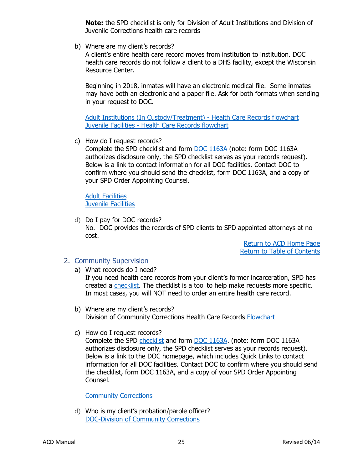**Note:** the SPD checklist is only for Division of Adult Institutions and Division of Juvenile Corrections health care records

b) Where are my client's records?

A client's entire health care record moves from institution to institution. DOC health care records do not follow a client to a DHS facility, except the Wisconsin Resource Center.

Beginning in 2018, inmates will have an electronic medical file. Some inmates may have both an electronic and a paper file. Ask for both formats when sending in your request to DOC.

Adult Institutions [\(In Custody/Treatment\) -](https://84e28956-0578-4c79-a8c4-ccd0bb6f7172.filesusr.com/ugd/d7d26b_0ad549d71ade4a279996e0a44cea1cdb.pdf) Health Care Records flowchart Juvenile Facilities - [Health Care Records flowchart](https://84e28956-0578-4c79-a8c4-ccd0bb6f7172.filesusr.com/ugd/d7d26b_f83d3e06da704903b0a488a66dd78c6e.pdf)

c) How do I request records?

Complete the SPD checklist and form [DOC 1163A](https://doc.wi.gov/Pages/OpioidProgramToolkit/Images/DOC-1163A-Form.pdf) (note: form DOC 1163A authorizes disclosure only, the SPD checklist serves as your records request). Below is a link to contact information for all DOC facilities. Contact DOC to confirm where you should send the checklist, form DOC 1163A, and a copy of your SPD Order Appointing Counsel.

[Adult Facilities](https://doc.wi.gov/Pages/OffenderInformation/AdultInstitutions/AdultFacilities.aspx) [Juvenile Facilities](https://doc.wi.gov/Pages/OffenderInformation/JuvenileCorrections/JuvenileFacilities.aspx)

d) Do I pay for DOC records? No. DOC provides the records of SPD clients to SPD appointed attorneys at no cost.

> [Return](https://www.wispd.gov/assigned-counsel-division) to ACD Home Pag[e](http://wispd.org/images/Newsletter_for_April_2015.pdf) [Return to Table of Contents](#page-0-0)

- <span id="page-25-0"></span>2. [Community Supervision](http://www.wispd.org/images/HowtoOrderDOCMedicalRecords_CommunitySupervision.pdf)
	- a) What records do I need?

If you need health care records from your client's former incarceration, SPD has created a [checklist.](https://www.wispd.gov/_files/ugd/d7d26b_5687b4aadd8f414c80d320a84a14c75a.pdf) The checklist is a tool to help make requests more specific. In most cases, you will NOT need to order an entire health care record.

- b) Where are my client's records? Division of Community Corrections Health Care Records [Flowchart](https://www.wispd.gov/acd-manual)
- c) How do I request records?

Complete the SPD [checklist](https://www.wispd.gov/_files/ugd/d7d26b_5687b4aadd8f414c80d320a84a14c75a.pdf) and form [DOC 1163A.](https://doc.wi.gov/Pages/OpioidProgramToolkit/Images/DOC-1163A-Form.pdf) (note: form DOC 1163A authorizes disclosure only, the SPD checklist serves as your records request). Below is a link to the DOC homepage, which includes Quick Links to contact information for all DOC facilities. Contact DOC to confirm where you should send the checklist, form DOC 1163A, and a copy of your SPD Order Appointing Counsel.

#### [Community Corrections](https://doc.wi.gov/Pages/AboutDOC/CommunityCorrections/ProbationParoleOfficesList.aspx)

d) Who is my client's probation/parole officer? [DOC-Division of Community Corrections](https://doc.wi.gov/Pages/AboutDOC/CommunityCorrections/ProbationParoleOfficesList.aspx)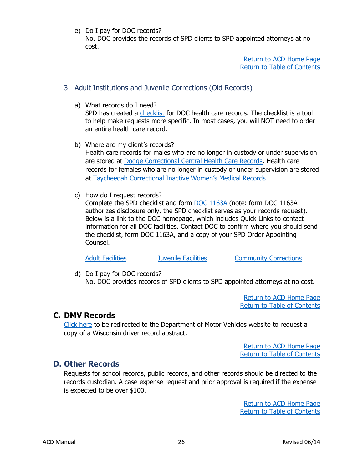e) Do I pay for DOC records?

No. DOC provides the records of SPD clients to SPD appointed attorneys at no cost.

> [Return](https://www.wispd.gov/assigned-counsel-division) to ACD Home Pag[e](http://wispd.org/images/Newsletter_for_April_2015.pdf) [Return to Table of Contents](#page-0-0)

# <span id="page-26-0"></span>3. [Adult Institutions and Juvenile Corrections \(Old Records\)](http://www.wispd.org/images/HowToorderDOChealthcarerecords_Inactive.pdf)

a) What records do I need?

SPD has created a [checklist](https://www.wispd.gov/_files/ugd/d7d26b_5687b4aadd8f414c80d320a84a14c75a.pdf) for DOC health care records. The checklist is a tool to help make requests more specific. In most cases, you will NOT need to order an entire health care record.

- b) Where are my client's records? Health care records for males who are no longer in custody or under supervision are stored at [Dodge Correctional Central Health Care Records.](mailto:DOCDAIDCICentralMedicalRecords@wisconsin.gov?subject=Record%20Request) Health care records for females who are no longer in custody or under supervision are stored at [Taycheedah Correctional Inactive Women's Medical Records](mailto:DOCWWCSTCIInactiveWomensMedicalRecords@wisconsin.gov?subject=Record%20Request).
- c) How do I request records?

Complete the SPD checklist and form [DOC 1163A](https://doc.wi.gov/Pages/OpioidProgramToolkit/Images/DOC-1163A-Form.pdf) (note: form DOC 1163A authorizes disclosure only, the SPD checklist serves as your records request). Below is a link to the DOC homepage, which includes Quick Links to contact information for all DOC facilities. Contact DOC to confirm where you should send the checklist, form DOC 1163A, and a copy of your SPD Order Appointing Counsel.

[Adult Facilities](https://doc.wi.gov/Pages/OffenderInformation/AdultInstitutions/AdultFacilities.aspx) **Adult Facilities** [Juvenile Facilities](https://doc.wi.gov/Pages/OffenderInformation/JuvenileCorrections/JuvenileFacilities.aspx) **[Community Corrections](https://doc.wi.gov/Pages/AboutDOC/CommunityCorrections/ProbationParoleOfficesList.aspx)** 

d) Do I pay for DOC records? No. DOC provides records of SPD clients to SPD appointed attorneys at no cost.

> [Return](https://www.wispd.gov/assigned-counsel-division) to ACD Home Pag[e](http://wispd.org/images/Newsletter_for_April_2015.pdf) [Return to Table of Contents](#page-0-0)

# <span id="page-26-1"></span>**C. DMV Records**

[Click here](https://wisconsindot.gov/Pages/online-srvcs/other-servs/request-record.aspx) to be redirected to the Department of Motor Vehicles website to request a copy of a Wisconsin driver record abstract.

> [Return](https://www.wispd.gov/assigned-counsel-division) to ACD Home Pag[e](http://wispd.org/images/Newsletter_for_April_2015.pdf) [Return to Table of Contents](#page-0-0)

# <span id="page-26-2"></span>**D. Other Records**

Requests for school records, public records, and other records should be directed to the records custodian. A case expense request and prior approval is required if the expense is expected to be over \$100.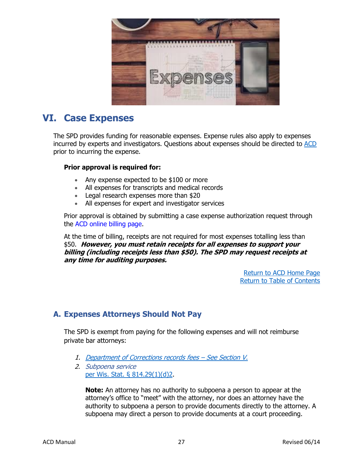

# <span id="page-27-0"></span>**VI. Case Expenses**

The SPD provides funding for reasonable expenses. Expense rules also apply to expenses incurred by experts and investigators. Questions about expenses should be directed to [ACD](mailto:ACD@opd.wi.gov) prior to incurring the expense.

### **Prior approval is required for:**

- Any expense expected to be \$100 or more
- All expenses for transcripts and medical records
- Legal research expenses more than \$20
- All expenses for expert and investigator services

Prior approval is obtained by submitting a case expense authorization request through the [ACD online billing page.](https://pb.opd.wi.gov/pbaccess/login.aspx)

At the time of billing, receipts are not required for most expenses totalling less than \$50. **However, you must retain receipts for all expenses to support your billing (including receipts less than \$50). The SPD may request receipts at any time for auditing purposes.**

> [Return](https://www.wispd.gov/assigned-counsel-division) to ACD Home Pag[e](http://wispd.org/images/Newsletter_for_April_2015.pdf) [Return to Table of Contents](#page-0-0)

# <span id="page-27-1"></span>**A. Expenses Attorneys Should Not Pay**

The SPD is exempt from paying for the following expenses and will not reimburse private bar attorneys:

- <span id="page-27-2"></span>1. [Department of Corrections records fees](https://www.wispd.gov/_files/ugd/d7d26b_d03517c253ff470f9ccfef3670951b71.pdf) – See Section V.
- <span id="page-27-3"></span>2. Subpoena service [per Wis. Stat. §](https://docs.legis.wisconsin.gov/statutes/statutes/814/i/29/1/d/2) 814.29(1)(d)2.

**Note:** An attorney has no authority to subpoena a person to appear at the attorney's office to "meet" with the attorney, nor does an attorney have the authority to subpoena a person to provide documents directly to the attorney. A subpoena may direct a person to provide documents at a court proceeding.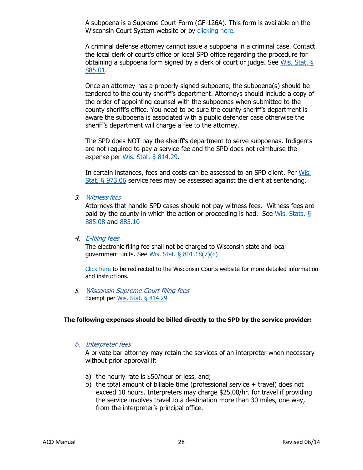A subpoena is a Supreme Court Form (GF-126A). This form is available on the Wisconsin Court System website or by [clicking here.](https://www.wicourts.gov/forms1/circuit/ccform.jsp?FormName=&FormNumber=&beg_date=&end_date=&StatuteCite=&Category=16)

A criminal defense attorney cannot issue a subpoena in a criminal case. Contact the local clerk of court's office or local SPD office regarding the procedure for obtaining a subpoena form signed by a clerk of court or judge. See [Wis. Stat. §](https://docs.legis.wisconsin.gov/statutes/statutes/885/i/01)  [885.01.](https://docs.legis.wisconsin.gov/statutes/statutes/885/i/01)

Once an attorney has a properly signed subpoena, the subpoena(s) should be tendered to the county sheriff's department. Attorneys should include a copy of the order of appointing counsel with the subpoenas when submitted to the county sheriff's office. You need to be sure the county sheriff's department is aware the subpoena is associated with a public defender case otherwise the sheriff's department will charge a fee to the attorney.

The SPD does NOT pay the sheriff's department to serve subpoenas. Indigents are not required to pay a service fee and the SPD does not reimburse the expense per [Wis. Stat.](https://docs.legis.wisconsin.gov/statutes/statutes/814/i/29) § 814.29.

In certain instances, fees and costs can be assessed to an SPD client. Per Wis. [Stat. § 973.06](https://docs.legis.wisconsin.gov/statutes/statutes/973/06) service fees may be assessed against the client at sentencing.

<span id="page-28-0"></span>3. [Witness](https://docs.legis.wisconsin.gov/statutes/statutes/885/I/10) fees

Attorneys that handle SPD cases should not pay witness fees. Witness fees are paid by the county in which the action or proceeding is had. See Wis. Stats.  $\S$ [885.08](https://docs.legis.wisconsin.gov/statutes/statutes/885/i/08) and [885.10](https://docs.legis.wisconsin.gov/statutes/statutes/885/i/10)

<span id="page-28-1"></span>4. [E-filing fees](https://docs.legis.wisconsin.gov/statutes/statutes/801/18/7/c)

The electronic filing fee shall not be charged to Wisconsin state and local government units. See [Wis. Stat. § 801.18\(7\)\(c\)](https://docs.legis.wisconsin.gov/document/statutes/801.18(7)(c))

[Click here](https://www.wicourts.gov/ecourts/efilecircuit/index.jsp) to be redirected to the Wisconsin Courts website for more detailed information and instructions.

<span id="page-28-2"></span>5. Wisconsin Supreme Court filing fees Exempt per [Wis. Stat. §](https://docs.legis.wisconsin.gov/statutes/statutes/814/I/29) 814.29

### <span id="page-28-3"></span>**The following expenses should be billed directly to the SPD by the service provider:**

6. Interpreter fees

A private bar attorney may retain the services of an interpreter when necessary without prior approval if:

- a) the hourly rate is \$50/hour or less, and;
- b) the total amount of billable time (professional service  $+$  travel) does not exceed 10 hours. Interpreters may charge \$25.00/hr. for travel if providing the service involves travel to a destination more than 30 miles, one way, from the interpreter's principal office.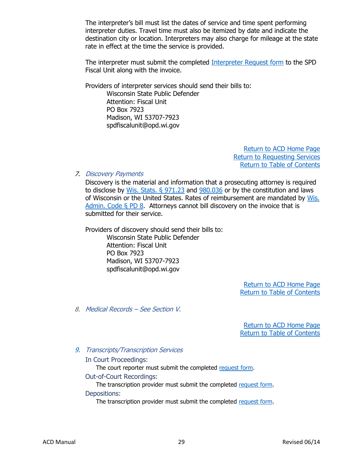The interpreter's bill must list the dates of service and time spent performing interpreter duties. Travel time must also be itemized by date and indicate the destination city or location. Interpreters may also charge for mileage at the state rate in effect at the time the service is provided.

The interpreter must submit the completed [Interpreter Request form](https://84e28956-0578-4c79-a8c4-ccd0bb6f7172.filesusr.com/ugd/d7d26b_8e789536f7864b14bd3188119a7e3915.pdf) to the SPD Fiscal Unit along with the invoice.

Providers of interpreter services should send their bills to:

Wisconsin State Public Defender Attention: Fiscal Unit PO Box 7923 Madison, WI 53707-7923 spdfiscalunit@opd.wi.gov

> [Return](https://www.wispd.gov/assigned-counsel-division) to ACD Home Page [Return to Requesting Services](#page-21-1) [Return to Table of Contents](#page-0-0)

<span id="page-29-0"></span>7. Discovery Payments

Discovery is the material and information that a prosecuting attorney is required to disclose by [Wis. Stats. §](https://docs.legis.wisconsin.gov/statutes/statutes/971/23) 971.23 and [980.036](https://docs.legis.wisconsin.gov/statutes/statutes/980/036) or by the constitution and laws of Wisconsin or the United States. Rates of reimbursement are mandated by [Wis.](https://docs.legis.wisconsin.gov/code/admin_code/pd/8)  [Admin. Code §](https://docs.legis.wisconsin.gov/code/admin_code/pd/8) PD 8. Attorneys cannot bill discovery on the invoice that is submitted for their service.

Providers of discovery should send their bills to: Wisconsin State Public Defender

Attention: Fiscal Unit PO Box 7923 Madison, WI 53707-7923 spdfiscalunit@opd.wi.gov

> [Return](https://www.wispd.gov/assigned-counsel-division) to ACD Home Pag[e](http://wispd.org/images/Newsletter_for_April_2015.pdf) [Return to Table of Contents](#page-0-0)

<span id="page-29-1"></span>8. Medical Records – See Section V.

[Return](https://www.wispd.gov/assigned-counsel-division) to ACD Home Pag[e](http://wispd.org/images/Newsletter_for_April_2015.pdf) [Return to Table of Contents](#page-0-0)

### <span id="page-29-2"></span>9. Transcripts/Transcription Services

In Court Proceedings:

The court reporter must submit the completed [request form.](https://www.wispd.gov/_files/ugd/ef2438_bcc67445414a4d3ba08411126178f528.pdf) Out-of-Court Recordings:

The transcription provider must submit the completed [request form.](https://www.wispd.gov/_files/ugd/ef2438_37aeae1bdb71416b84c5f0535352b9fe.pdf) Depositions:

The transcription provider must submit the completed [request form.](https://www.wispd.gov/_files/ugd/ef2438_bb04ad72dca04983a497cfeaf59a10fe.pdf)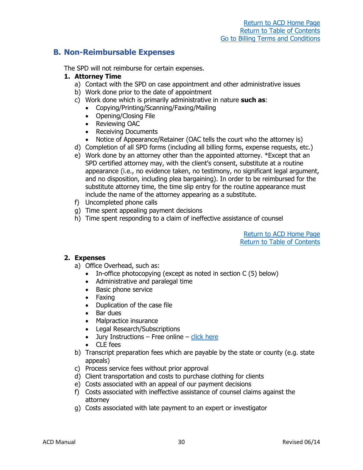# <span id="page-30-0"></span>**B. Non-Reimbursable Expenses**

The SPD will not reimburse for certain expenses.

## **1. Attorney Time**

- a) Contact with the SPD on case appointment and other administrative issues
- b) Work done prior to the date of appointment
- c) Work done which is primarily administrative in nature **such as**:
	- Copying/Printing/Scanning/Faxing/Mailing
	- Opening/Closing File
	- Reviewing OAC
	- Receiving Documents
	- Notice of Appearance/Retainer (OAC tells the court who the attorney is)
- d) Completion of all SPD forms (including all billing forms, expense requests, etc.)
- e) Work done by an attorney other than the appointed attorney. \*Except that an SPD certified attorney may, with the client's consent, substitute at a routine appearance (i.e., no evidence taken, no testimony, no significant legal argument, and no disposition, including plea bargaining). In order to be reimbursed for the substitute attorney time, the time slip entry for the routine appearance must include the name of the attorney appearing as a substitute.
- f) Uncompleted phone calls
- g) Time spent appealing payment decisions
- h) Time spent responding to a claim of ineffective assistance of counsel

[Return](https://www.wispd.gov/assigned-counsel-division) to ACD Home Pag[e](http://wispd.org/images/Newsletter_for_April_2015.pdf) [Return to Table of Contents](#page-0-0)

### **2. Expenses**

- a) Office Overhead, such as:
	- In-office photocopying (except as noted in section C (5) below)
	- Administrative and paralegal time
	- Basic phone service
	- Faxing
	- Duplication of the case file
	- Bar dues
	- Malpractice insurance
	- Legal Research/Subscriptions
	- Jury Instructions Free online [click here](https://wilawlibrary.gov/jury/criminal/)
	- CLE fees
- b) Transcript preparation fees which are payable by the state or county (e.g. state appeals)
- c) Process service fees without prior approval
- d) Client transportation and costs to purchase clothing for clients
- e) Costs associated with an appeal of our payment decisions
- f) Costs associated with ineffective assistance of counsel claims against the attorney
- g) Costs associated with late payment to an expert or investigator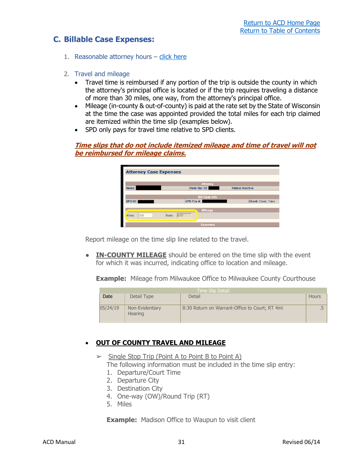# <span id="page-31-1"></span><span id="page-31-0"></span>**C. Billable Case Expenses:**

- 1. Reasonable attorney hours [click here](#page-36-0)
- <span id="page-31-2"></span>2. Travel and mileage
	- Travel time is reimbursed if any portion of the trip is outside the county in which the attorney's principal office is located or if the trip requires traveling a distance of more than 30 miles, one way, from the attorney's principal office.
	- Mileage (in-county & out-of-county) is paid at the rate set by the State of Wisconsin at the time the case was appointed provided the total miles for each trip claimed are itemized within the time slip (examples below).
	- SPD only pays for travel time relative to SPD clients.

### **Time slips that do not include itemized mileage and time of travel will not be reimbursed for mileage claims.**

| <b>Attorney Case Expenses</b> |                                  |                             |  |  |
|-------------------------------|----------------------------------|-----------------------------|--|--|
|                               | <b>Attorney</b>                  |                             |  |  |
| Name:                         | State Bar ID:                    | <b>Status: Inactive</b>     |  |  |
|                               | <b>Bill/Case Info</b>            |                             |  |  |
| SPD ID:                       | SPD File #:                      | <b>Client: Client, Fake</b> |  |  |
| 120<br>Wiles:                 | <b>Mileage</b><br> 0.51<br>Rate: |                             |  |  |
|                               | <b>Expenses</b>                  |                             |  |  |

Report mileage on the time slip line related to the travel.

● **IN-COUNTY MILEAGE** should be entered on the time slip with the event for which it was incurred, indicating office to location and mileage.

**Example:** Mileage from Milwaukee Office to Milwaukee County Courthouse

| <b>Time Slip Detail</b> |                                   |                                                |              |  |
|-------------------------|-----------------------------------|------------------------------------------------|--------------|--|
| Date                    | Detail Type                       | Detail                                         | <b>Hours</b> |  |
| 05/24/19                | Non-Evidentiary<br><b>Hearing</b> | 8:30 Return on Warrant-Office to Court; RT 4mi |              |  |

# • **OUT OF COUNTY TRAVEL AND MILEAGE**

- $\triangleright$  Single Stop Trip (Point A to Point B to Point A) The following information must be included in the time slip entry:
	- 1. Departure/Court Time
	- 2. Departure City
	- 3. Destination City
	- 4. One-way (OW)/Round Trip (RT)
	- 5. Miles

**Example:** Madison Office to Waupun to visit client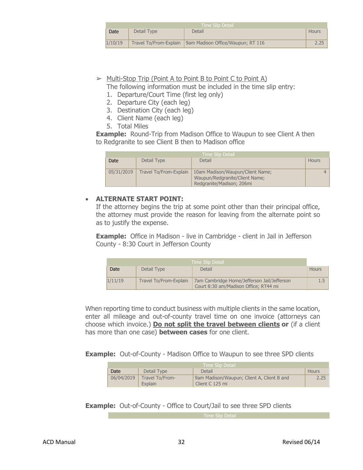| l Time Slip Detail ' |                        |                                   |       |  |
|----------------------|------------------------|-----------------------------------|-------|--|
| Date                 | Detail Type            | Detail                            | Hours |  |
|                      |                        |                                   |       |  |
| 1/10/19              | Travel To/From-Explain | 9am Madison Office/Waupun; RT 116 | 2.25  |  |

# $\triangleright$  Multi-Stop Trip (Point A to Point B to Point C to Point A)

The following information must be included in the time slip entry:

- 1. Departure/Court Time (first leg only)
- 2. Departure City (each leg)
- 3. Destination City (each leg)
- 4. Client Name (each leg)
- 5. Total Miles

**Example:** Round-Trip from Madison Office to Waupun to see Client A then to Redgranite to see Client B then to Madison office

|            | Time Slip Detail       |                                                                                                 |       |  |  |  |
|------------|------------------------|-------------------------------------------------------------------------------------------------|-------|--|--|--|
| Date       | Detail Type            | Detail                                                                                          | Hours |  |  |  |
| 05/31/2019 | Travel To/From-Explain | 10am Madison/Waupun/Client Name;<br>Waupun/Redgranite/Client Name;<br>Redgranite/Madison; 206mi |       |  |  |  |

# • **ALTERNATE START POINT:**

If the attorney begins the trip at some point other than their principal office, the attorney must provide the reason for leaving from the alternate point so as to justify the expense.

**Example:** Office in Madison - live in Cambridge - client in Jail in Jefferson County - 8:30 Court in Jefferson County

| ' Time Slip Detail |                        |                                                                                      |              |
|--------------------|------------------------|--------------------------------------------------------------------------------------|--------------|
| Date               | Detail Type            | Detail                                                                               | <b>Hours</b> |
| 1/11/19            | Travel To/From-Explain | 7am Cambridge Home/Jefferson Jail/Jefferson<br>Court 8:30 am/Madison Office; RT44 mi | $1.5 -$      |

When reporting time to conduct business with multiple clients in the same location, enter all mileage and out-of-county travel time on one invoice (attorneys can choose which invoice.) **Do not split the travel between clients or** (if a client has more than one case) **between cases** for one client.

**Example:** Out-of-County - Madison Office to Waupun to see three SPD clients

| Time Slip Detail |                            |                                                               |       |  |  |
|------------------|----------------------------|---------------------------------------------------------------|-------|--|--|
| Date             | Detail Type                | Detail                                                        | Hours |  |  |
| 06/04/2019       | Travel To/From-<br>Explain | 9am Madison/Waupun; Client A, Client B and<br>Client C 125 mi | 2.25  |  |  |

**Example:** Out-of-County - Office to Court/Jail to see three SPD clients

Time Slip Detail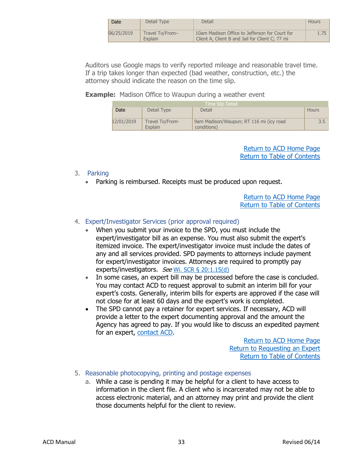| Date       | Detail Type                | Detail                                                                                            | Hours |
|------------|----------------------------|---------------------------------------------------------------------------------------------------|-------|
| 06/25/2019 | Travel To/From-<br>Explain | 10am Madison Office to Jefferson for Court for<br>Client A. Client B and Jail for Client C: 77 mi | 1.75  |

Auditors use Google maps to verify reported mileage and reasonable travel time. If a trip takes longer than expected (bad weather, construction, etc.) the attorney should indicate the reason on the time slip.

**Example:** Madison Office to Waupun during a weather event

|            | Time Slip Detail !         |                                                        |       |  |
|------------|----------------------------|--------------------------------------------------------|-------|--|
| Date       | Detail Type                | Detail                                                 | Hours |  |
| 12/01/2019 | Travel To/From-<br>Explain | 9am Madison/Waupun; RT 116 mi (icy road<br>conditions) | 3.5   |  |

[Return](https://www.wispd.gov/assigned-counsel-division) to ACD Home Pag[e](http://wispd.org/images/Newsletter_for_April_2015.pdf) [Return to Table of Contents](#page-0-0)

- <span id="page-33-0"></span>3. Parking
	- Parking is reimbursed. Receipts must be produced upon request.

[Return](https://www.wispd.gov/assigned-counsel-division) to ACD Home Pag[e](http://wispd.org/images/Newsletter_for_April_2015.pdf) [Return to Table of Contents](#page-0-0)

# <span id="page-33-1"></span>4. Expert/Investigator Services (prior approval required)

- When you submit your invoice to the SPD, you must include the expert/investigator bill as an expense. You must also submit the expert's itemized invoice. The expert/investigator invoice must include the dates of any and all services provided. SPD payments to attorneys include payment for expert/investigator invoices. Attorneys are required to promptly pay experts/investigators. See Wi. SCR § [20:1.15\(d\)](https://www.wicourts.gov/services/attorney/docs/scr20safekeeping.pdf)
- In some cases, an expert bill may be processed before the case is concluded. You may contact ACD to request approval to submit an interim bill for your expert's costs. Generally, interim bills for experts are approved if the case will not close for at least 60 days and the expert's work is completed.
- The SPD cannot pay a retainer for expert services. If necessary, ACD will provide a letter to the expert documenting approval and the amount the Agency has agreed to pay. If you would like to discuss an expedited payment for an expert, [contact](mailto:acd@opd.wi.gov) ACD.

[Return](https://www.wispd.gov/assigned-counsel-division) to ACD Home Page [Return to Requesting](#page-20-3) an Exper[t](http://wispd.org/images/Newsletter_for_April_2015.pdf) [Return to Table of Contents](#page-0-0)

- <span id="page-33-2"></span>5. Reasonable photocopying, printing and postage expenses
	- a. While a case is pending it may be helpful for a client to have access to information in the client file. A client who is incarcerated may not be able to access electronic material, and an attorney may print and provide the client those documents helpful for the client to review.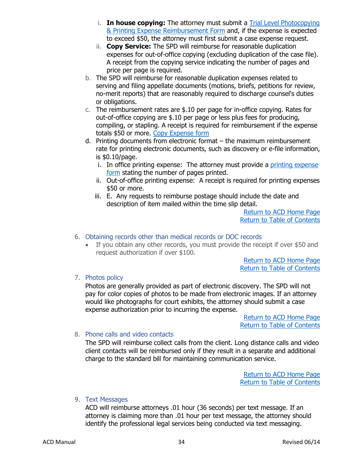- i. **In house copying:** The attorney must submit a [Trial Level Photocopying](https://www.wispd.gov/_files/ugd/ef2438_207f82e56fdc43709e28179133d8b16f.pdf)  [& Printing Expense Reimbursement Form](https://www.wispd.gov/_files/ugd/ef2438_207f82e56fdc43709e28179133d8b16f.pdf) and, if the expense is expected to exceed \$50, the attorney must first submit a case expense request.
- ii. **Copy Service:** The SPD will reimburse for reasonable duplication expenses for out-of-office copying (excluding duplication of the case file). A receipt from the copying service indicating the number of pages and price per page is required.
- b. The SPD will reimburse for reasonable duplication expenses related to serving and filing appellate documents (motions, briefs, petitions for review, no-merit reports) that are reasonably required to discharge counsel's duties or obligations.
- c. The reimbursement rates are \$.10 per page for in-office copying. Rates for out-of-office copying are \$.10 per page or less plus fees for producing, compiling, or stapling. A receipt is required for reimbursement if the expense totals \$50 or more. [Copy Expense form](https://www.wispd.gov/_files/ugd/ef2438_a3f632ca08ac4d4bbd7053bdcfdfed07.pdf)
- d. Printing documents from electronic format the maximum reimbursement rate for printing electronic documents, such as discovery or e-file information, is \$0.10/page.
	- i. In office printing expense: The attorney must provide a [printing expense](https://www.wispd.gov/_files/ugd/ef2438_207f82e56fdc43709e28179133d8b16f.pdf) [form](https://www.wispd.gov/_files/ugd/ef2438_207f82e56fdc43709e28179133d8b16f.pdf) stating the number of pages printed.
	- ii. Out-of-office printing expense: A receipt is required for printing expenses \$50 or more.
	- iii. E. Any requests to reimburse postage should include the date and description of item mailed within the time slip detail.

[Return](https://www.wispd.gov/assigned-counsel-division) to ACD Home Pag[e](http://wispd.org/images/Newsletter_for_April_2015.pdf) [Return to Table of Contents](#page-0-0)

- <span id="page-34-0"></span>6. Obtaining records other than medical records or DOC records
	- If you obtain any other records, you must provide the receipt if over \$50 and request authorization if over \$100.

[Return](https://www.wispd.gov/assigned-counsel-division) to ACD Home Pag[e](http://wispd.org/images/Newsletter_for_April_2015.pdf) [Return to Table of Contents](#page-0-0)

<span id="page-34-1"></span>7. Photos policy

Photos are generally provided as part of electronic discovery. The SPD will not pay for color copies of photos to be made from electronic images. If an attorney would like photographs for court exhibits, the attorney should submit a case expense authorization prior to incurring the expense.

> [Return](https://www.wispd.gov/assigned-counsel-division) to ACD Home Pag[e](http://wispd.org/images/Newsletter_for_April_2015.pdf) [Return to Table of Contents](#page-0-0)

### <span id="page-34-2"></span>8. Phone calls and video contacts

The SPD will reimburse collect calls from the client. Long distance calls and video client contacts will be reimbursed only if they result in a separate and additional charge to the standard bill for maintaining communication service.

> [Return](https://www.wispd.gov/assigned-counsel-division) to ACD Home Pag[e](http://wispd.org/images/Newsletter_for_April_2015.pdf) [Return to Table of Contents](#page-0-0)

### <span id="page-34-3"></span>9. Text Messages

ACD will reimburse attorneys .01 hour (36 seconds) per text message. If an attorney is claiming more than .01 hour per text message, the attorney should identify the professional legal services being conducted via text messaging.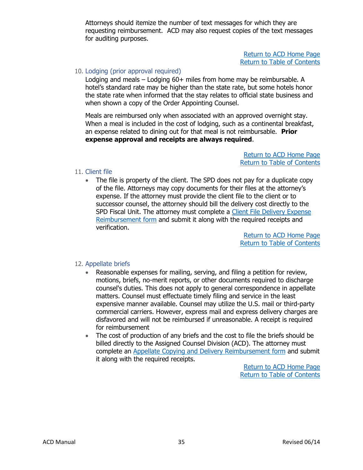Attorneys should itemize the number of text messages for which they are requesting reimbursement. ACD may also request copies of the text messages for auditing purposes.

> [Return](https://www.wispd.gov/assigned-counsel-division) to ACD Home Pag[e](http://wispd.org/images/Newsletter_for_April_2015.pdf) [Return to Table of Contents](#page-0-0)

#### <span id="page-35-0"></span>10. Lodging (prior approval required)

Lodging and meals – Lodging 60+ miles from home may be reimbursable. A hotel's standard rate may be higher than the state rate, but some hotels honor the state rate when informed that the stay relates to official state business and when shown a copy of the Order Appointing Counsel.

Meals are reimbursed only when associated with an approved overnight stay. When a meal is included in the cost of lodging, such as a continental breakfast, an expense related to dining out for that meal is not reimbursable. **Prior expense approval and receipts are always required**.

> [Return](https://www.wispd.gov/assigned-counsel-division) to ACD Home Pag[e](http://wispd.org/images/Newsletter_for_April_2015.pdf) [Return to Table of Contents](#page-0-0)

#### <span id="page-35-1"></span>11. Client file

The file is property of the client. The SPD does not pay for a duplicate copy of the file. Attorneys may copy documents for their files at the attorney's expense. If the attorney must provide the client file to the client or to successor counsel, the attorney should bill the delivery cost directly to the SPD Fiscal Unit. The attorney must complete a Client File Delivery Expense [Reimbursement form](https://84e28956-0578-4c79-a8c4-ccd0bb6f7172.filesusr.com/ugd/d7d26b_566da17580e346fab2c9bfa135d7a771.pdf) and submit it along with the required receipts and verification.

> [Return](https://www.wispd.gov/assigned-counsel-division) to ACD Home Pag[e](http://wispd.org/images/Newsletter_for_April_2015.pdf) [Return to Table of Contents](#page-0-0)

### <span id="page-35-2"></span>12. Appellate briefs

- Reasonable expenses for mailing, serving, and filing a petition for review, motions, briefs, no-merit reports, or other documents required to discharge counsel's duties. This does not apply to general correspondence in appellate matters. Counsel must effectuate timely filing and service in the least expensive manner available. Counsel may utilize the U.S. mail or third-party commercial carriers. However, express mail and express delivery charges are disfavored and will not be reimbursed if unreasonable. A receipt is required for reimbursement
- The cost of production of any briefs and the cost to file the briefs should be billed directly to the Assigned Counsel Division (ACD). The attorney must complete an [Appellate Copying and Delivery Reimbursement form](https://www.wispd.gov/_files/ugd/ef2438_a3f632ca08ac4d4bbd7053bdcfdfed07.pdf) and submit it along with the required receipts.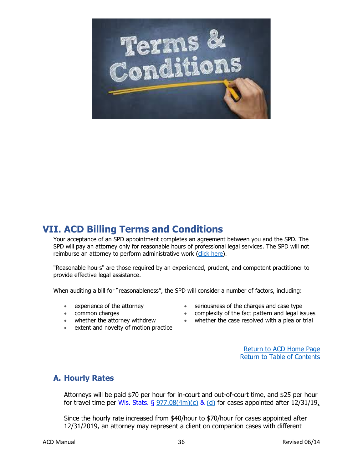

# <span id="page-36-0"></span>**VII. ACD Billing Terms and Conditions**

Your acceptance of an SPD appointment completes an agreement between you and the SPD. The SPD will pay an attorney only for reasonable hours of professional legal services. The SPD will not reimburse an attorney to perform administrative work [\(click here\)](#page-30-0).

"Reasonable hours" are those required by an experienced, prudent, and competent practitioner to provide effective legal assistance.

When auditing a bill for "reasonableness", the SPD will consider a number of factors, including:

- experience of the attorney
- common charges
- whether the attorney withdrew
- extent and novelty of motion practice
- seriousness of the charges and case type
- complexity of the fact pattern and legal issues
- whether the case resolved with a plea or trial

[Return](https://www.wispd.gov/assigned-counsel-division) to ACD Home Pag[e](http://wispd.org/images/Newsletter_for_April_2015.pdf) [Return to Table of Contents](#page-0-0)

# <span id="page-36-1"></span>**A. Hourly Rates**

Attorneys will be paid \$70 per hour for in-court and out-of-court time, and \$25 per hour for travel time per Wis. Stats.  $\S 977.08(4m)(c) 8$  $\S 977.08(4m)(c) 8$  $\S 977.08(4m)(c) 8$  [\(d\)](https://docs.legis.wisconsin.gov/statutes/statutes/977/08/4m/d) for cases appointed after 12/31/19.

Since the hourly rate increased from \$40/hour to \$70/hour for cases appointed after 12/31/2019, an attorney may represent a client on companion cases with different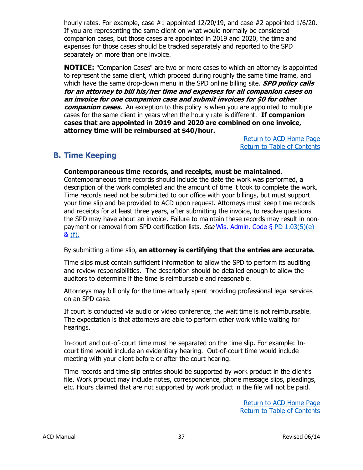hourly rates. For example, case #1 appointed 12/20/19, and case #2 appointed 1/6/20. If you are representing the same client on what would normally be considered companion cases, but those cases are appointed in 2019 and 2020, the time and expenses for those cases should be tracked separately and reported to the SPD separately on more than one invoice.

**NOTICE:** "Companion Cases" are two or more cases to which an attorney is appointed to represent the same client, which proceed during roughly the same time frame, and which have the same drop-down menu in the SPD online billing site. **SPD policy calls for an attorney to bill his/her time and expenses for all companion cases on an invoice for one companion case and submit invoices for \$0 for other**  *companion cases.* An exception to this policy is when you are appointed to multiple cases for the same client in years when the hourly rate is different. **If companion cases that are appointed in 2019 and 2020 are combined on one invoice, attorney time will be reimbursed at \$40/hour.**

> [Return](https://www.wispd.gov/assigned-counsel-division) to ACD Home Pag[e](http://wispd.org/images/Newsletter_for_April_2015.pdf) [Return to Table of Contents](#page-0-0)

# <span id="page-37-0"></span>**B. Time Keeping**

### **Contemporaneous time records, and receipts, must be maintained.**

Contemporaneous time records should include the date the work was performed, a description of the work completed and the amount of time it took to complete the work. Time records need not be submitted to our office with your billings, but must support your time slip and be provided to ACD upon request. Attorneys must keep time records and receipts for at least three years, after submitting the invoice, to resolve questions the SPD may have about an invoice. Failure to maintain these records may result in nonpayment or removal from SPD certification lists. See Wis. Admin. Code  $\S$  [PD 1.03\(5\)\(e\)](https://docs.legis.wisconsin.gov/code/admin_code/pd/1/03/5/e) & [\(f\).](https://docs.legis.wisconsin.gov/code/admin_code/pd/1/03/5/f)

By submitting a time slip, **an attorney is certifying that the entries are accurate.**

Time slips must contain sufficient information to allow the SPD to perform its auditing and review responsibilities. The description should be detailed enough to allow the auditors to determine if the time is reimbursable and reasonable.

Attorneys may bill only for the time actually spent providing professional legal services on an SPD case.

If court is conducted via audio or video conference, the wait time is not reimbursable. The expectation is that attorneys are able to perform other work while waiting for hearings.

In-court and out-of-court time must be separated on the time slip. For example: Incourt time would include an evidentiary hearing. Out-of-court time would include meeting with your client before or after the court hearing.

Time records and time slip entries should be supported by work product in the client's file. Work product may include notes, correspondence, phone message slips, pleadings, etc. Hours claimed that are not supported by work product in the file will not be paid.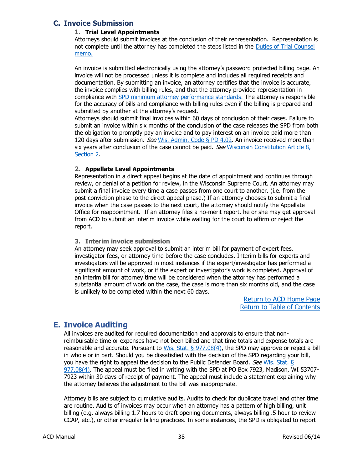## <span id="page-38-0"></span>**C. Invoice Submission**

#### **1. Trial Level Appointments**

Attorneys should submit invoices at the conclusion of their representation. Representation is not complete until the attorney has completed the steps listed in the [Duties of Trial Counsel](https://www.wispd.gov/_files/ugd/d7d26b_29d67f860f7246768f1721ba4c1fdc83.pdf) [memo.](https://www.wispd.gov/_files/ugd/d7d26b_29d67f860f7246768f1721ba4c1fdc83.pdf) 

An invoice is submitted electronically using the attorney's password protected billing page. An invoice will not be processed unless it is complete and includes all required receipts and documentation. By submitting an invoice, an attorney certifies that the invoice is accurate, the invoice complies with billing rules, and that the attorney provided representation in compliance with [SPD minimum attorney performance standards.](#page-6-0) The attorney is responsible for the accuracy of bills and compliance with billing rules even if the billing is prepared and submitted by another at the attorney's request.

Attorneys should submit final invoices within 60 days of conclusion of their cases. Failure to submit an invoice within six months of the conclusion of the case releases the SPD from both the obligation to promptly pay an invoice and to pay interest on an invoice paid more than 120 days after submission. See [Wis. Admin. Code §](https://docs.legis.wisconsin.gov/code/admin_code/pd/4/02) PD 4.02. An invoice received more than six years after conclusion of the case cannot be paid. See Wisconsin Constitution Article 8, [Section](https://docs.legis.wisconsin.gov/constitution/wi/000234/000003) 2.

#### **2. Appellate Level Appointments**

Representation in a direct appeal begins at the date of appointment and continues through review, or denial of a petition for review, in the Wisconsin Supreme Court. An attorney may submit a final invoice every time a case passes from one court to another. (i.e. from the post-conviction phase to the direct appeal phase.) If an attorney chooses to submit a final invoice when the case passes to the next court, the attorney should notify the Appellate Office for reappointment. If an attorney files a no-merit report, he or she may get approval from ACD to submit an interim invoice while waiting for the court to affirm or reject the report.

#### **3. Interim invoice submission**

An attorney may seek approval to submit an interim bill for payment of expert fees, investigator fees, or attorney time before the case concludes. Interim bills for experts and investigators will be approved in most instances if the expert/investigator has performed a significant amount of work, or if the expert or investigator's work is completed. Approval of an interim bill for attorney time will be considered when the attorney has performed a substantial amount of work on the case, the case is more than six months old, and the case is unlikely to be completed within the next 60 days.

> [Return](https://www.wispd.gov/assigned-counsel-division) to ACD Home Pag[e](http://wispd.org/images/Newsletter_for_April_2015.pdf) [Return to Table of Contents](#page-0-0)

# <span id="page-38-1"></span>**E. Invoice Auditing**

All invoices are audited for required documentation and approvals to ensure that nonreimbursable time or expenses have not been billed and that time totals and expense totals are reasonable and accurate. Pursuant to Wis. Stat.  $\S$  [977.08\(4\),](https://docs.legis.wisconsin.gov/statutes/statutes/977/08/4) the SPD may approve or reject a bill in whole or in part. Should you be dissatisfied with the decision of the SPD regarding your bill, you have the right to appeal the decision to the Public Defender Board. See [Wis. Stat.](https://docs.legis.wisconsin.gov/statutes/statutes/977/08/4) § [977.08\(4\).](https://docs.legis.wisconsin.gov/statutes/statutes/977/08/4) The appeal must be filed in writing with the SPD at PO Box 7923, Madison, WI 53707- 7923 within 30 days of receipt of payment. The appeal must include a statement explaining why the attorney believes the adjustment to the bill was inappropriate.

Attorney bills are subject to cumulative audits. Audits to check for duplicate travel and other time are routine. Audits of invoices may occur when an attorney has a pattern of high billing, unit billing (e.g. always billing 1.7 hours to draft opening documents, always billing .5 hour to review CCAP, etc.), or other irregular billing practices. In some instances, the SPD is obligated to report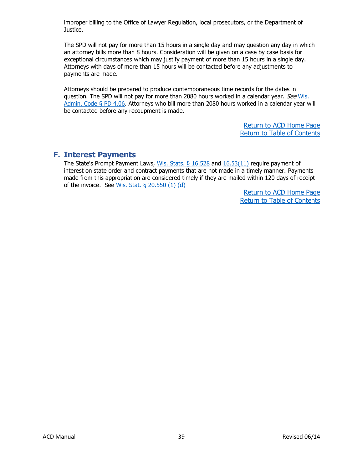improper billing to the Office of Lawyer Regulation, local prosecutors, or the Department of Justice.

The SPD will not pay for more than 15 hours in a single day and may question any day in which an attorney bills more than 8 hours. Consideration will be given on a case by case basis for exceptional circumstances which may justify payment of more than 15 hours in a single day. Attorneys with days of more than 15 hours will be contacted before any adjustments to payments are made.

Attorneys should be prepared to produce contemporaneous time records for the dates in question. The SPD will not pay for more than 2080 hours worked in a calendar year. See Wis. [Admin. Code §](https://docs.legis.wisconsin.gov/code/admin_code/pd/4/06) PD 4.06. Attorneys who bill more than 2080 hours worked in a calendar year will be contacted before any recoupment is made.

> [Return](https://www.wispd.gov/assigned-counsel-division) to ACD Home Pag[e](http://wispd.org/images/Newsletter_for_April_2015.pdf) [Return to Table of Contents](#page-0-0)

# <span id="page-39-0"></span>**F. Interest Payments**

The State's Prompt Payment Laws, Wis. Stats.  $\frac{6}{16.528}$  and  $\frac{16.53(11)}{16.53(11)}$  require payment of interest on state order and contract payments that are not made in a timely manner. Payments made from this appropriation are considered timely if they are mailed within 120 days of receipt of the invoice. See [Wis. Stat. § 20.550 \(1\) \(d\)](https://docs.legis.wisconsin.gov/statutes/statutes/20/VI/550)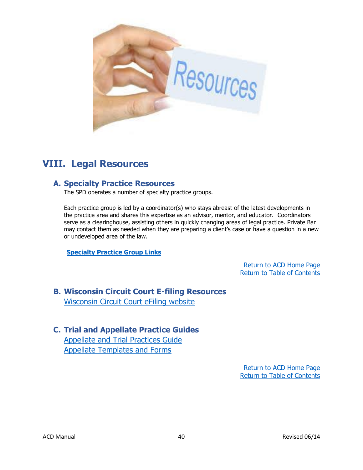

# <span id="page-40-0"></span>**VIII. Legal Resources**

# <span id="page-40-1"></span>**A. Specialty Practice Resources**

The SPD operates a number of specialty practice groups.

Each practice group is led by a coordinator(s) who stays abreast of the latest developments in the practice area and shares this expertise as an advisor, mentor, and educator. Coordinators serve as a clearinghouse, assisting others in quickly changing areas of legal practice. Private Bar may contact them as needed when they are preparing a client's case or have a question in a new or undeveloped area of the law.

**[Specialty Practice Group Links](https://www.wispd.gov/specialty-practice-groups)**

[Return](https://www.wispd.gov/assigned-counsel-division) to ACD Home Pag[e](http://wispd.org/images/Newsletter_for_April_2015.pdf) [Return to Table of Contents](#page-0-0)

<span id="page-40-2"></span>**B. Wisconsin Circuit Court E-filing Resources** [Wisconsin Circuit Court eFiling website](https://www.wicourts.gov/ecourts/efilecircuit/index.jsp)

# <span id="page-40-3"></span>**C. Trial and Appellate Practice Guides** [Appellate and Trial Practices Guide](https://www.wispd.gov/appellate-division)

[Appellate Templates and Forms](https://www.wispd.gov/templates-forms)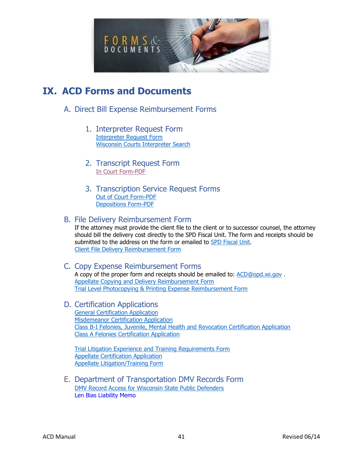

# <span id="page-41-1"></span><span id="page-41-0"></span>**IX. ACD Forms and Documents**

- <span id="page-41-3"></span><span id="page-41-2"></span>A. Direct Bill Expense Reimbursement Forms
	- 1. Interpreter Request Form [Interpreter Request Form](https://84e28956-0578-4c79-a8c4-ccd0bb6f7172.filesusr.com/ugd/d7d26b_8e789536f7864b14bd3188119a7e3915.pdf) [Wisconsin Courts Interpreter Search](https://www.wicourts.gov/services/interpreter/search.htm)
	- 2. Transcript Request Form [In Court Form-PD](https://84e28956-0578-4c79-a8c4-ccd0bb6f7172.filesusr.com/ugd/d7d26b_08eb8a71c9e747f4808cbc61f6bb976f.pdf)F
	- 3. Transcription Service Request Forms [Out of Court Form-PDF](https://www.wispd.gov/_files/ugd/ef2438_bcc67445414a4d3ba08411126178f528.pdf) [Depositions Form-PDF](https://www.wispd.gov/_files/ugd/ef2438_bb04ad72dca04983a497cfeaf59a10fe.pdf)

# <span id="page-41-5"></span><span id="page-41-4"></span>B. File Delivery Reimbursement Form

If the attorney must provide the client file to the client or to successor counsel, the attorney should bill the delivery cost directly to the SPD Fiscal Unit. The form and receipts should be submitted to the address on the form or emailed to [SPD Fiscal Unit.](mailto:%22spdfiscalunit@opd.wi.gov%22%20%3cspdfiscalunit@opd.wi.gov%3e) [Client File Delivery Reimbursement Form](https://84e28956-0578-4c79-a8c4-ccd0bb6f7172.filesusr.com/ugd/d7d26b_566da17580e346fab2c9bfa135d7a771.pdf)

#### <span id="page-41-6"></span>C. Copy Expense Reimbursement Forms A copy of the proper form and receipts should be emailed to: [ACD@opd.wi.gov](mailto:ACD@opd.wi.gov) . [Appellate Copying and Delivery Reimbursement Form](https://www.wispd.gov/_files/ugd/ef2438_a3f632ca08ac4d4bbd7053bdcfdfed07.pdf)

[Trial Level Photocopying & Printing Expense Reimbursement Form](https://www.wispd.gov/_files/ugd/ef2438_207f82e56fdc43709e28179133d8b16f.pdf)

<span id="page-41-7"></span>D. Certification Applications [General Certification Application](https://www.wispd.gov/_files/ugd/ef2438_c63cec5c04144e2a90bb27ca0824d3e7.pdf) [Misdemeanor Certification Application](https://www.wispd.gov/_files/ugd/ef2438_35e3cb8afed244f894734b79623489fa.pdf) [Class B-I Felonies, Juvenile, Mental Health and Revocation Certification Application](https://www.wispd.gov/_files/ugd/ef2438_dbeb90df4842456f846c56f3e8cccb25.pdf) [Class A Felonies Certification Application](https://www.wispd.gov/_files/ugd/ef2438_98534dcb321f436c845338ff1e37c8bb.pdf)

[Trial Litigation Experience and Training Requirements Form](https://www.wispd.gov/_files/ugd/ef2438_804068240c4c4f6b8a6c1b9b5362f336.pdf) [Appellate Certification Application](https://84e28956-0578-4c79-a8c4-ccd0bb6f7172.filesusr.com/ugd/d7d26b_fb5520e396c742d4b59716305398eb8b.pdf) [Appellate Litigation/Training Form](https://84e28956-0578-4c79-a8c4-ccd0bb6f7172.filesusr.com/ugd/d7d26b_c046cae4eba84795992ed439fb81107e.pdf)

<span id="page-41-8"></span>E. Department of Transportation DMV Records Form [DMV Record Access for Wisconsin State Public Defenders](https://wisconsindot.gov/Pages/online-srvcs/external/bds-landing.aspx) [Len Bias Liability Memo](https://www.wispd.gov/_files/ugd/ef2438_c2d2125448144dd6b9f4dc9ec1d2deaf.pdf)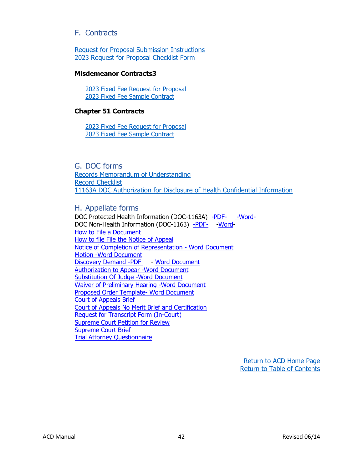# <span id="page-42-0"></span>F. Contracts

[Request for Proposal Submission Instructions](https://www.wispd.gov/_files/ugd/ef2438_8b647c04723244b1b41dc7c83dc8a36d.pdf) 2023 [Request for Proposal Checklist Form](https://www.wispd.gov/_files/ugd/ef2438_49bec828c60f4ad38ceabeb5b893b0ab.pdf)

#### **Misdemeanor Contracts3**

[2023 Fixed Fee Request for Proposal](https://84e28956-0578-4c79-a8c4-ccd0bb6f7172.filesusr.com/ugd/ef2438_7ed614784af4490998ea6ca55629bade.pdf) 2023 [Fixed Fee Sample Contract](https://84e28956-0578-4c79-a8c4-ccd0bb6f7172.filesusr.com/ugd/ef2438_915bc577d5a94c57926499ef490b62ec.pdf)

#### **Chapter 51 Contracts**

[2023 Fixed Fee Request for Proposal](https://84e28956-0578-4c79-a8c4-ccd0bb6f7172.filesusr.com/ugd/ef2438_84a671d2220e4f5ba12d55445d3b7af1.pdf) 2023 [Fixed Fee Sample Contract](https://84e28956-0578-4c79-a8c4-ccd0bb6f7172.filesusr.com/ugd/ef2438_668fe95abca2444b9b17d9a119556d66.pdf)

<span id="page-42-1"></span>G. DOC forms [Records Memorandum of Understanding](https://www.wispd.gov/_files/ugd/d7d26b_d03517c253ff470f9ccfef3670951b71.pdf) [Record Checklist](https://www.wispd.gov/_files/ugd/d7d26b_5687b4aadd8f414c80d320a84a14c75a.pdf) [11163A DOC Authorization for Disclosure of Health Confidential Information](https://doc.wi.gov/Pages/OpioidProgramToolkit/Images/DOC-1163A-Form.pdf)

### <span id="page-42-2"></span>H. Appellate forms

DOC Protected Health Information (DOC-1163A) [-PDF-](https://www.wispd.gov/_files/ugd/ef2438_cc9a1438a5734ec6b73f5d19cea20413.pdf) [-Word-](https://84e28956-0578-4c79-a8c4-ccd0bb6f7172.filesusr.com/ugd/ef2438_6603d5b299364cad8cf6143e7bc8cddb.doc?dn=1163A.doc)DOC Non-Health Information (DOC-1163) [-PDF-](https://www.wispd.gov/_files/ugd/ef2438_f2f0e990eec1402587b2d09720b2ef14.pdf) Word-How to File a [Document](https://www.wispd.gov/_files/ugd/ef2438_a800b2f174d84d8da865cb81441a82ed.pdf) How to file File the Notice of [Appeal](https://www.wispd.gov/_files/ugd/ef2438_f11a095649de4193a9ebae59f77a1b36.pdf) Notice of Completion of [Representation](https://84e28956-0578-4c79-a8c4-ccd0bb6f7172.filesusr.com/ugd/ef2438_b3b11ee60c6149c29bbd5d88f2aebf5e.doc?dn=NoticeofCompletionofRepresentation%20(1).doc) - Word Document Motion -Word [Document](https://84e28956-0578-4c79-a8c4-ccd0bb6f7172.filesusr.com/ugd/ef2438_af4c8287f572449e8580f98cc3181554.doc?dn=MotionTemplate1.30.2017%20(1).doc) [Discovery](https://www.wispd.gov/_files/ugd/ef2438_76f5be565e214d3ba18edc0d4fd7bcdc.pdf) Demand -PDF - Word [Document](https://84e28956-0578-4c79-a8c4-ccd0bb6f7172.filesusr.com/ugd/ef2438_d6cf126d34384d689743e48267992f0b.doc?dn=DISCDEMAND3%20(1).doc) [Authorization](https://84e28956-0578-4c79-a8c4-ccd0bb6f7172.filesusr.com/ugd/ef2438_f2ecbf140d8744e4996df9903cecdd77.doc?dn=AuthToAppear%20(1).doc) to Appear -Word Document [Substitution](https://84e28956-0578-4c79-a8c4-ccd0bb6f7172.filesusr.com/ugd/ef2438_21de76e0bfa544e5bd39c78ce56a5773.doc?dn=SubofJudge%20(1).doc) Of Judge -Word Document Waiver of [Preliminary](https://84e28956-0578-4c79-a8c4-ccd0bb6f7172.filesusr.com/ugd/ef2438_0bd26d480bb943b1998b02702e14698f.doc?dn=WaiverofPrelim%20(2).doc) Hearing -Word Document Proposed Order Template- Word [Document](https://84e28956-0578-4c79-a8c4-ccd0bb6f7172.filesusr.com/ugd/ef2438_f6eac15c8c0441559bb357284b2a020c.doc?dn=ProposedOrdertemplate_7_16_2018.doc) Court of [Appeals](https://84e28956-0578-4c79-a8c4-ccd0bb6f7172.filesusr.com/ugd/ef2438_01350cf201f14cc1b1328c34be54285c.docx?dn=COA%20brief%20template.docx) Brief Court of Appeals No Merit Brief and [Certification](https://84e28956-0578-4c79-a8c4-ccd0bb6f7172.filesusr.com/ugd/ef2438_304aae63d12b492791e459224744536a.docx?dn=NMR%20template.docx) Request for Transcript Form [\(In-Court\)](https://84e28956-0578-4c79-a8c4-ccd0bb6f7172.filesusr.com/ugd/ef2438_56b01f5788fa48488823672ad0bdbcb6.doc?dn=TranscriptReq.doc) [Supreme](https://84e28956-0578-4c79-a8c4-ccd0bb6f7172.filesusr.com/ugd/ef2438_dbd56b1541274db8b8aed9229f45b2ca.docx?dn=PFR%20template.docx) Court Petition for Review [Supreme](https://84e28956-0578-4c79-a8c4-ccd0bb6f7172.filesusr.com/ugd/ef2438_efb9eae916444b9aae3d8cce8e2edb2c.doc?dn=SCtBrief.doc) Court Brief Trial Attorney [Questionnaire](https://84e28956-0578-4c79-a8c4-ccd0bb6f7172.filesusr.com/ugd/ef2438_239e0e8a56844fe2a6b8cfa16a0eb116.doc?dn=AppellateQuestionnaireJune2013.doc)